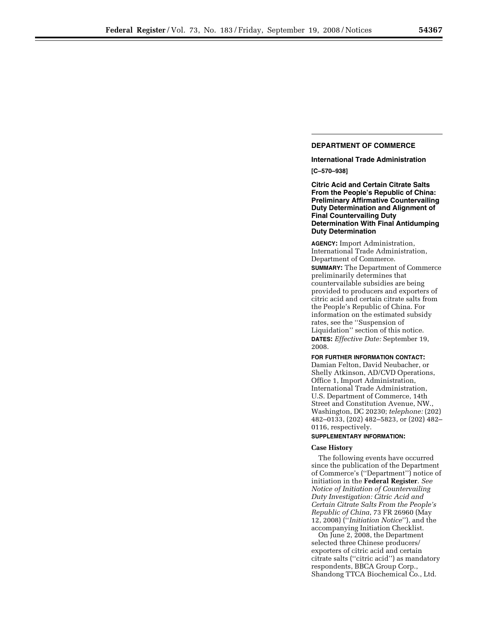# **DEPARTMENT OF COMMERCE**

**International Trade Administration** 

**[C–570–938]** 

**Citric Acid and Certain Citrate Salts From the People's Republic of China: Preliminary Affirmative Countervailing Duty Determination and Alignment of Final Countervailing Duty Determination With Final Antidumping Duty Determination** 

**AGENCY:** Import Administration, International Trade Administration, Department of Commerce.

**SUMMARY:** The Department of Commerce preliminarily determines that countervailable subsidies are being provided to producers and exporters of citric acid and certain citrate salts from the People's Republic of China. For information on the estimated subsidy rates, see the ''Suspension of Liquidation'' section of this notice. **DATES:** *Effective Date:* September 19, 2008.

**FOR FURTHER INFORMATION CONTACT:**  Damian Felton, David Neubacher, or Shelly Atkinson, AD/CVD Operations, Office 1, Import Administration, International Trade Administration, U.S. Department of Commerce, 14th Street and Constitution Avenue, NW., Washington, DC 20230; *telephone:* (202) 482–0133, (202) 482–5823, or (202) 482– 0116, respectively.

#### **SUPPLEMENTARY INFORMATION:**

### **Case History**

The following events have occurred since the publication of the Department of Commerce's (''Department'') notice of initiation in the **Federal Register**. *See Notice of Initiation of Countervailing Duty Investigation: Citric Acid and Certain Citrate Salts From the People's Republic of China*, 73 FR 26960 (May 12, 2008) (''*Initiation Notice*''), and the accompanying Initiation Checklist.

On June 2, 2008, the Department selected three Chinese producers/ exporters of citric acid and certain citrate salts (''citric acid'') as mandatory respondents, BBCA Group Corp., Shandong TTCA Biochemical Co., Ltd.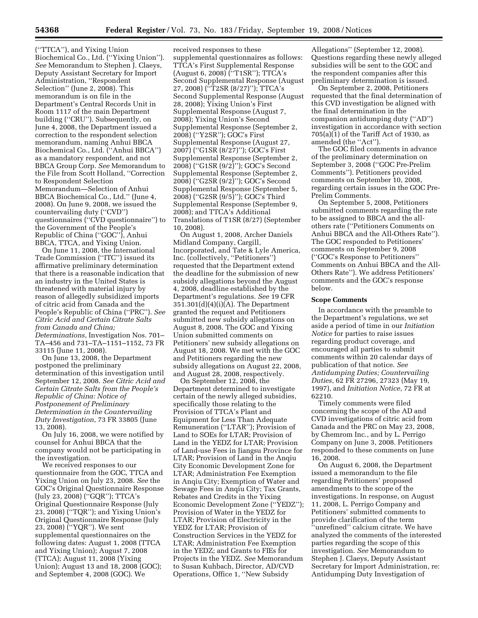(''TTCA''), and Yixing Union Biochemical Co., Ltd. (''Yixing Union''). *See* Memorandum to Stephen J. Claeys, Deputy Assistant Secretary for Import Administration, ''Respondent Selection'' (June 2, 2008). This memorandum is on file in the Department's Central Records Unit in Room 1117 of the main Department building (''CRU''). Subsequently, on June 4, 2008, the Department issued a correction to the respondent selection memorandum, naming Anhui BBCA Biochemical Co., Ltd. (''Anhui BBCA'') as a mandatory respondent, and not BBCA Group Corp. *See* Memorandum to the File from Scott Holland, ''Correction to Respondent Selection Memorandum—Selection of Anhui BBCA Biochemical Co., Ltd.'' (June 4, 2008). On June 9, 2008, we issued the countervailing duty (''CVD'') questionnaires (''CVD questionnaire'') to the Government of the People's Republic of China (''GOC''), Anhui BBCA, TTCA, and Yixing Union.

On June 11, 2008, the International Trade Commission (''ITC'') issued its affirmative preliminary determination that there is a reasonable indication that an industry in the United States is threatened with material injury by reason of allegedly subsidized imports of citric acid from Canada and the People's Republic of China (''PRC''). *See Citric Acid and Certain Citrate Salts from Canada and China; Determinations*, Investigation Nos. 701– TA–456 and 731–TA–1151–1152, 73 FR 33115 (June 11, 2008).

On June 13, 2008, the Department postponed the preliminary determination of this investigation until September 12, 2008. *See Citric Acid and Certain Citrate Salts from the People's Republic of China: Notice of Postponement of Preliminary Determination in the Countervailing Duty Investigation*, 73 FR 33805 (June 13, 2008).

On July 16, 2008, we were notified by counsel for Anhui BBCA that the company would not be participating in the investigation.

We received responses to our questionnaire from the GOC, TTCA and Yixing Union on July 23, 2008. *See* the GOC's Original Questionnaire Response (July 23, 2008) (''GQR''); TTCA's Original Questionnaire Response (July 23, 2008) (''TQR''); and Yixing Union's Original Questionnaire Response (July 23, 2008) (''YQR''). We sent supplemental questionnaires on the following dates: August 1, 2008 (TTCA and Yixing Union); August 7, 2008 (TTCA); August 11, 2008 (Yixing Union); August 13 and 18, 2008 (GOC); and September 4, 2008 (GOC). We

received responses to these supplemental questionnaires as follows: TTCA's First Supplemental Response (August 6, 2008) (''T1SR''); TTCA's Second Supplemental Response (August 27, 2008) (''T2SR (8/27)''); TTCA's Second Supplemental Response (August 28, 2008); Yixing Union's First Supplemental Response (August 7, 2008); Yixing Union's Second Supplemental Response (September 2, 2008) (''Y2SR''); GOC's First Supplemental Response (August 27, 2007) (''G1SR (8/27)''); GOC's First Supplemental Response (September 2, 2008) (''G1SR (9/2)''); GOC's Second Supplemental Response (September 2, 2008) (''G2SR (9/2)''); GOC's Second Supplemental Response (September 5, 2008) (''G2SR (9/5)''); GOC's Third Supplemental Response (September 9, 2008); and TTCA's Additional Translations of T1SR (8/27) (September 10, 2008).

On August 1, 2008, Archer Daniels Midland Company, Cargill, Incorporated, and Tate & Lyle America, Inc. (collectively, ''Petitioners'') requested that the Department extend the deadline for the submission of new subsidy allegations beyond the August 4, 2008, deadline established by the Department's regulations. *See* 19 CFR 351.301(d)(4)(i)(A). The Department granted the request and Petitioners submitted new subsidy allegations on August 8, 2008. The GOC and Yixing Union submitted comments on Petitioners' new subsidy allegations on August 18, 2008. We met with the GOC and Petitioners regarding the new subsidy allegations on August 22, 2008, and August 28, 2008, respectively.

On September 12, 2008, the Department determined to investigate certain of the newly alleged subsidies, specifically those relating to the Provision of TTCA's Plant and Equipment for Less Than Adequate Remuneration (''LTAR''); Provision of Land to SOEs for LTAR; Provision of Land in the YEDZ for LTAR; Provision of Land-use Fees in Jiangsu Province for LTAR; Provision of Land in the Anqiu City Economic Development Zone for LTAR; Administration Fee Exemption in Anqiu City; Exemption of Water and Sewage Fees in Anqiu City; Tax Grants, Rebates and Credits in the Yixing Economic Development Zone (''YEDZ''); Provision of Water in the YEDZ for LTAR; Provision of Electricity in the YEDZ for LTAR; Provision of Construction Services in the YEDZ for LTAR; Administration Fee Exemption in the YEDZ; and Grants to FIEs for Projects in the YEDZ. *See* Memorandum to Susan Kuhbach, Director, AD/CVD Operations, Office 1, ''New Subsidy

Allegations'' (September 12, 2008). Questions regarding these newly alleged subsidies will be sent to the GOC and the respondent companies after this preliminary determination is issued.

On September 2, 2008, Petitioners requested that the final determination of this CVD investigation be aligned with the final determination in the companion antidumping duty (''AD'') investigation in accordance with section 705(a)(1) of the Tariff Act of 1930, as amended (the ''Act'').

The GOC filed comments in advance of the preliminary determination on September 3, 2008 (''GOC Pre-Prelim Comments''). Petitioners provided comments on September 10, 2008, regarding certain issues in the GOC Pre-Prelim Comments.

On September 5, 2008, Petitioners submitted comments regarding the rate to be assigned to BBCA and the allothers rate (''Petitioners Comments on Anhui BBCA and the All-Others Rate''). The GOC responded to Petitioners' comments on September 9, 2008 (''GOC's Response to Petitioners'' Comments on Anhui BBCA and the All-Others Rate''). We address Petitioners' comments and the GOC's response below.

### **Scope Comments**

In accordance with the preamble to the Department's regulations, we set aside a period of time in our *Initiation Notice* for parties to raise issues regarding product coverage, and encouraged all parties to submit comments within 20 calendar days of publication of that notice. *See Antidumping Duties; Countervailing Duties*, 62 FR 27296, 27323 (May 19, 1997), and *Initiation Notice*, 72 FR at 62210.

Timely comments were filed concerning the scope of the AD and CVD investigations of citric acid from Canada and the PRC on May 23, 2008, by Chemrom Inc., and by L. Perrigo Company on June 3, 2008. Petitioners responded to these comments on June 16, 2008.

On August 6, 2008, the Department issued a memorandum to the file regarding Petitioners' proposed amendments to the scope of the investigations. In response, on August 11, 2008, L. Perrigo Company and Petitioners' submitted comments to provide clarification of the term ''unrefined'' calcium citrate. We have analyzed the comments of the interested parties regarding the scope of this investigation. *See* Memorandum to Stephen J. Claeys, Deputy Assistant Secretary for Import Administration, re: Antidumping Duty Investigation of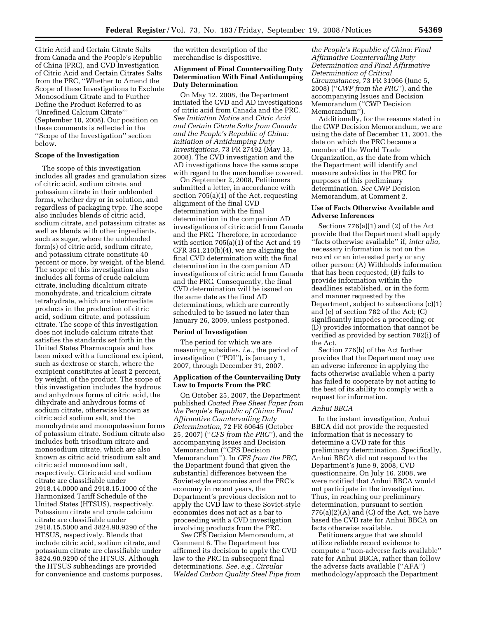Citric Acid and Certain Citrate Salts from Canada and the People's Republic of China (PRC), and CVD Investigation of Citric Acid and Certain Citrates Salts from the PRC, ''Whether to Amend the Scope of these Investigations to Exclude Monosodium Citrate and to Further Define the Product Referred to as 'Unrefined Calcium Citrate''' (September 10, 2008). Our position on these comments is reflected in the ''Scope of the Investigation'' section below.

### **Scope of the Investigation**

The scope of this investigation includes all grades and granulation sizes of citric acid, sodium citrate, and potassium citrate in their unblended forms, whether dry or in solution, and regardless of packaging type. The scope also includes blends of citric acid, sodium citrate, and potassium citrate; as well as blends with other ingredients, such as sugar, where the unblended form(s) of citric acid, sodium citrate, and potassium citrate constitute 40 percent or more, by weight, of the blend. The scope of this investigation also includes all forms of crude calcium citrate, including dicalcium citrate monohydrate, and tricalcium citrate tetrahydrate, which are intermediate products in the production of citric acid, sodium citrate, and potassium citrate. The scope of this investigation does not include calcium citrate that satisfies the standards set forth in the United States Pharmacopeia and has been mixed with a functional excipient, such as dextrose or starch, where the excipient constitutes at least 2 percent, by weight, of the product. The scope of this investigation includes the hydrous and anhydrous forms of citric acid, the dihydrate and anhydrous forms of sodium citrate, otherwise known as citric acid sodium salt, and the monohydrate and monopotassium forms of potassium citrate. Sodium citrate also includes both trisodium citrate and monosodium citrate, which are also known as citric acid trisodium salt and citric acid monosodium salt, respectively. Citric acid and sodium citrate are classifiable under 2918.14.0000 and 2918.15.1000 of the Harmonized Tariff Schedule of the United States (HTSUS), respectively. Potassium citrate and crude calcium citrate are classifiable under 2918.15.5000 and 3824.90.9290 of the HTSUS, respectively. Blends that include citric acid, sodium citrate, and potassium citrate are classifiable under 3824.90.9290 of the HTSUS. Although the HTSUS subheadings are provided for convenience and customs purposes,

the written description of the merchandise is dispositive.

# **Alignment of Final Countervailing Duty Determination With Final Antidumping Duty Determination**

On May 12, 2008, the Department initiated the CVD and AD investigations of citric acid from Canada and the PRC. *See Initiation Notice* and *Citric Acid and Certain Citrate Salts from Canada and the People's Republic of China: Initiation of Antidumping Duty Investigations*, 73 FR 27492 (May 13, 2008). The CVD investigation and the AD investigations have the same scope with regard to the merchandise covered.

On September 2, 2008, Petitioners submitted a letter, in accordance with section 705(a)(1) of the Act, requesting alignment of the final CVD determination with the final determination in the companion AD investigations of citric acid from Canada and the PRC. Therefore, in accordance with section 705(a)(1) of the Act and 19 CFR 351.210(b)(4), we are aligning the final CVD determination with the final determination in the companion AD investigations of citric acid from Canada and the PRC. Consequently, the final CVD determination will be issued on the same date as the final AD determinations, which are currently scheduled to be issued no later than January 26, 2009, unless postponed.

### **Period of Investigation**

The period for which we are measuring subsidies, *i.e.*, the period of investigation (''POI''), is January 1, 2007, through December 31, 2007.

# **Application of the Countervailing Duty Law to Imports From the PRC**

On October 25, 2007, the Department published *Coated Free Sheet Paper from the People's Republic of China: Final Affirmative Countervailing Duty Determination*, 72 FR 60645 (October 25, 2007) (''*CFS from the PRC*''), and the accompanying Issues and Decision Memorandum (''CFS Decision Memorandum''). In *CFS from the PRC*, the Department found that given the substantial differences between the Soviet-style economies and the PRC's economy in recent years, the Department's previous decision not to apply the CVD law to these Soviet-style economies does not act as a bar to proceeding with a CVD investigation involving products from the PRC.

*See* CFS Decision Memorandum, at Comment 6. The Department has affirmed its decision to apply the CVD law to the PRC in subsequent final determinations. *See*, *e.g.*, *Circular Welded Carbon Quality Steel Pipe from* 

*the People's Republic of China: Final Affirmative Countervailing Duty Determination and Final Affirmative Determination of Critical Circumstances*, 73 FR 31966 (June 5, 2008) (''*CWP from the PRC*''), and the accompanying Issues and Decision Memorandum (''CWP Decision Memorandum'').

Additionally, for the reasons stated in the CWP Decision Memorandum, we are using the date of December 11, 2001, the date on which the PRC became a member of the World Trade Organization, as the date from which the Department will identify and measure subsidies in the PRC for purposes of this preliminary determination. *See* CWP Decision Memorandum, at Comment 2.

## **Use of Facts Otherwise Available and Adverse Inferences**

Sections 776(a)(1) and (2) of the Act provide that the Department shall apply ''facts otherwise available'' if, *inter alia*, necessary information is not on the record or an interested party or any other person: (A) Withholds information that has been requested; (B) fails to provide information within the deadlines established, or in the form and manner requested by the Department, subject to subsections (c)(1) and (e) of section 782 of the Act; (C) significantly impedes a proceeding; or (D) provides information that cannot be verified as provided by section 782(i) of the Act.

Section 776(b) of the Act further provides that the Department may use an adverse inference in applying the facts otherwise available when a party has failed to cooperate by not acting to the best of its ability to comply with a request for information.

# *Anhui BBCA*

In the instant investigation, Anhui BBCA did not provide the requested information that is necessary to determine a CVD rate for this preliminary determination. Specifically, Anhui BBCA did not respond to the Department's June 9, 2008, CVD questionnaire. On July 16, 2008, we were notified that Anhui BBCA would not participate in the investigation. Thus, in reaching our preliminary determination, pursuant to section  $776(a)(2)(A)$  and  $(C)$  of the Act, we have based the CVD rate for Anhui BBCA on facts otherwise available.

Petitioners argue that we should utilize reliable record evidence to compute a ''non-adverse facts available'' rate for Anhui BBCA, rather than follow the adverse facts available (''AFA'') methodology/approach the Department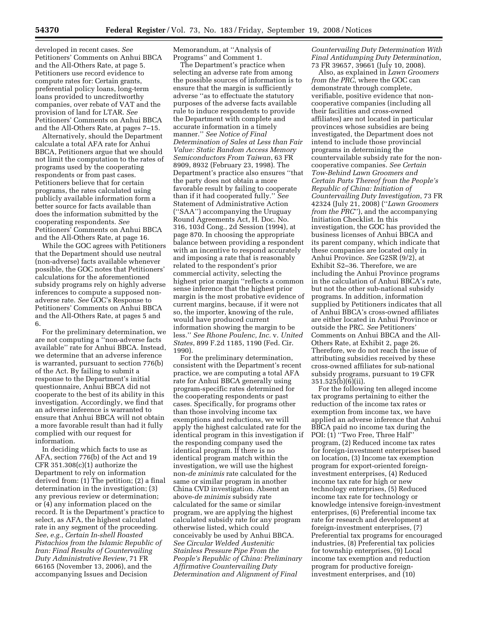developed in recent cases. *See*  Petitioners' Comments on Anhui BBCA and the All-Others Rate, at page 5. Petitioners use record evidence to compute rates for: Certain grants, preferential policy loans, long-term loans provided to uncreditworthy companies, over rebate of VAT and the provision of land for LTAR. *See*  Petitioners' Comments on Anhui BBCA and the All-Others Rate, at pages 7–15.

Alternatively, should the Department calculate a total AFA rate for Anhui BBCA, Petitioners argue that we should not limit the computation to the rates of programs used by the cooperating respondents or from past cases. Petitioners believe that for certain programs, the rates calculated using publicly available information form a better source for facts available than does the information submitted by the cooperating respondents. *See*  Petitioners' Comments on Anhui BBCA and the All-Others Rate, at page 16.

While the GOC agrees with Petitioners that the Department should use neutral (non-adverse) facts available whenever possible, the GOC notes that Petitioners' calculations for the aforementioned subsidy programs rely on highly adverse inferences to compute a supposed nonadverse rate. *See* GOC's Response to Petitioners' Comments on Anhui BBCA and the All-Others Rate, at pages 5 and 6.

For the preliminary determination, we are not computing a ''non-adverse facts available'' rate for Anhui BBCA. Instead, we determine that an adverse inference is warranted, pursuant to section 776(b) of the Act. By failing to submit a response to the Department's initial questionnaire, Anhui BBCA did not cooperate to the best of its ability in this investigation. Accordingly, we find that an adverse inference is warranted to ensure that Anhui BBCA will not obtain a more favorable result than had it fully complied with our request for information.

In deciding which facts to use as AFA, section 776(b) of the Act and 19 CFR  $351.308(c)(1)$  authorize the Department to rely on information derived from: (1) The petition; (2) a final determination in the investigation; (3) any previous review or determination; or (4) any information placed on the record. It is the Department's practice to select, as AFA, the highest calculated rate in any segment of the proceeding. *See*, *e.g.*, *Certain In-shell Roasted Pistachios from the Islamic Republic of Iran: Final Results of Countervailing Duty Administrative Review*, 71 FR 66165 (November 13, 2006), and the accompanying Issues and Decision

Memorandum, at ''Analysis of Programs'' and Comment 1.

The Department's practice when selecting an adverse rate from among the possible sources of information is to ensure that the margin is sufficiently adverse ''as to effectuate the statutory purposes of the adverse facts available rule to induce respondents to provide the Department with complete and accurate information in a timely manner.'' *See Notice of Final Determination of Sales at Less than Fair Value: Static Random Access Memory Semiconductors From Taiwan*, 63 FR 8909, 8932 (February 23, 1998). The Department's practice also ensures ''that the party does not obtain a more favorable result by failing to cooperate than if it had cooperated fully.'' *See*  Statement of Administrative Action (''SAA'') accompanying the Uruguay Round Agreements Act, H. Doc. No. 316, 103d Cong., 2d Session (1994), at page 870. In choosing the appropriate balance between providing a respondent with an incentive to respond accurately and imposing a rate that is reasonably related to the respondent's prior commercial activity, selecting the highest prior margin ''reflects a common sense inference that the highest prior margin is the most probative evidence of current margins, because, if it were not so, the importer, knowing of the rule, would have produced current information showing the margin to be less.'' *See Rhone Poulenc, Inc.* v. *United States*, 899 F.2d 1185, 1190 (Fed. Cir. 1990).

For the preliminary determination, consistent with the Department's recent practice, we are computing a total AFA rate for Anhui BBCA generally using program-specific rates determined for the cooperating respondents or past cases. Specifically, for programs other than those involving income tax exemptions and reductions, we will apply the highest calculated rate for the identical program in this investigation if the responding company used the identical program. If there is no identical program match within the investigation, we will use the highest non-*de minimis* rate calculated for the same or similar program in another China CVD investigation. Absent an above-*de minimis* subsidy rate calculated for the same or similar program, we are applying the highest calculated subsidy rate for any program otherwise listed, which could conceivably be used by Anhui BBCA. *See Circular Welded Austenitic Stainless Pressure Pipe From the People's Republic of China: Preliminary Affirmative Countervailing Duty Determination and Alignment of Final* 

*Countervailing Duty Determination With Final Antidumping Duty Determination*, 73 FR 39657, 39661 (July 10, 2008).

Also, as explained in *Lawn Groomers from the PRC*, where the GOC can demonstrate through complete, verifiable, positive evidence that noncooperative companies (including all their facilities and cross-owned affiliates) are not located in particular provinces whose subsidies are being investigated, the Department does not intend to include those provincial programs in determining the countervailable subsidy rate for the noncooperative companies. *See Certain Tow-Behind Lawn Groomers and Certain Parts Thereof from the People's Republic of China: Initiation of Countervailing Duty Investigation*, 73 FR 42324 (July 21, 2008) (''*Lawn Groomers from the PRC*''), and the accompanying Initiation Checklist. In this investigation, the GOC has provided the business licenses of Anhui BBCA and its parent company, which indicate that these companies are located only in Anhui Province. *See* G2SR (9/2), at Exhibit S2–36. Therefore, we are including the Anhui Province programs in the calculation of Anhui BBCA's rate, but not the other sub-national subsidy programs. In addition, information supplied by Petitioners indicates that all of Anhui BBCA's cross-owned affiliates are either located in Anhui Province or outside the PRC. *See* Petitioners' Comments on Anhui BBCA and the All-Others Rate, at Exhibit 2, page 26. Therefore, we do not reach the issue of attributing subsidies received by these cross-owned affiliates for sub-national subsidy programs, pursuant to 19 CFR 351.525(b)(6)(ii).

For the following ten alleged income tax programs pertaining to either the reduction of the income tax rates or exemption from income tax, we have applied an adverse inference that Anhui BBCA paid no income tax during the POI: (1) "Two Free, Three Half" program, (2) Reduced income tax rates for foreign-investment enterprises based on location, (3) Income tax exemption program for export-oriented foreigninvestment enterprises, (4) Reduced income tax rate for high or new technology enterprises, (5) Reduced income tax rate for technology or knowledge intensive foreign-investment enterprises, (6) Preferential income tax rate for research and development at foreign-investment enterprises, (7) Preferential tax programs for encouraged industries, (8) Preferential tax policies for township enterprises, (9) Local income tax exemption and reduction program for productive foreigninvestment enterprises, and (10)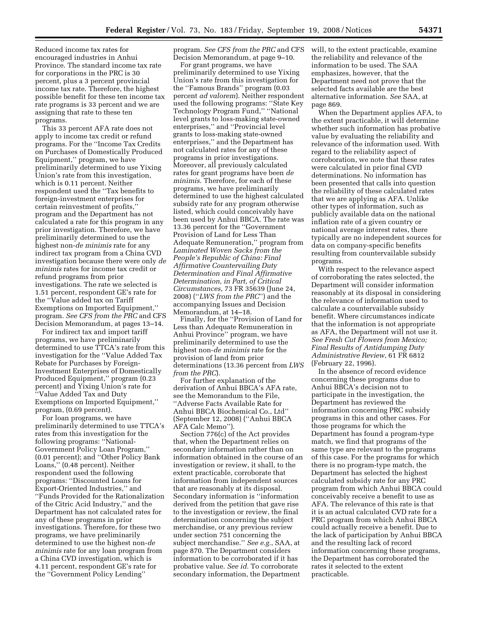Reduced income tax rates for encouraged industries in Anhui Province. The standard income tax rate for corporations in the PRC is 30 percent, plus a 3 percent provincial income tax rate. Therefore, the highest possible benefit for these ten income tax rate programs is 33 percent and we are assigning that rate to these ten programs.

This 33 percent AFA rate does not apply to income tax credit or refund programs. For the ''Income Tax Credits on Purchases of Domestically Produced Equipment,'' program, we have preliminarily determined to use Yixing Union's rate from this investigation, which is 0.11 percent. Neither respondent used the ''Tax benefits to foreign-investment enterprises for certain reinvestment of profits,'' program and the Department has not calculated a rate for this program in any prior investigation. Therefore, we have preliminarily determined to use the highest non-*de minimis* rate for any indirect tax program from a China CVD investigation because there were only *de minimis* rates for income tax credit or refund programs from prior investigations. The rate we selected is 1.51 percent, respondent GE's rate for the ''Value added tax on Tariff Exemptions on Imported Equipment,'' program. *See CFS from the PRC* and CFS Decision Memorandum, at pages 13–14.

For indirect tax and import tariff programs, we have preliminarily determined to use TTCA's rate from this investigation for the ''Value Added Tax Rebate for Purchases by Foreign-Investment Enterprises of Domestically Produced Equipment,'' program (0.23 percent) and Yixing Union's rate for ''Value Added Tax and Duty Exemptions on Imported Equipment,'' program, (0.69 percent).

For loan programs, we have preliminarily determined to use TTCA's rates from this investigation for the following programs: ''National-Government Policy Loan Program,'' (0.01 percent); and ''Other Policy Bank Loans,'' (0.48 percent). Neither respondent used the following programs: ''Discounted Loans for Export-Oriented Industries,'' and ''Funds Provided for the Rationalization of the Citric Acid Industry,'' and the Department has not calculated rates for any of these programs in prior investigations. Therefore, for these two programs, we have preliminarily determined to use the highest non-*de minimis* rate for any loan program from a China CVD investigation, which is 4.11 percent, respondent GE's rate for the ''Government Policy Lending''

program. *See CFS from the PRC* and CFS Decision Memorandum, at page 9–10.

For grant programs, we have preliminarily determined to use Yixing Union's rate from this investigation for the ''Famous Brands'' program (0.03 percent *ad valorem*). Neither respondent used the following programs: ''State Key Technology Program Fund," "National level grants to loss-making state-owned enterprises,'' and ''Provincial level grants to loss-making state-owned enterprises,'' and the Department has not calculated rates for any of these programs in prior investigations. Moreover, all previously calculated rates for grant programs have been *de minimis*. Therefore, for each of these programs, we have preliminarily determined to use the highest calculated subsidy rate for any program otherwise listed, which could conceivably have been used by Anhui BBCA. The rate was 13.36 percent for the ''Government Provision of Land for Less Than Adequate Remuneration,'' program from *Laminated Woven Sacks from the People's Republic of China: Final Affirmative Countervailing Duty Determination and Final Affirmative Determination, in Part, of Critical Circumstances*, 73 FR 35639 (June 24, 2008) (''*LWS from the PRC*'') and the accompanying Issues and Decision Memorandum, at 14–18.

Finally, for the ''Provision of Land for Less than Adequate Remuneration in Anhui Province'' program, we have preliminarily determined to use the highest non-*de minimis* rate for the provision of land from prior determinations (13.36 percent from *LWS from the PRC*).

For further explanation of the derivation of Anhui BBCA's AFA rate, see the Memorandum to the File, ''Adverse Facts Available Rate for Anhui BBCA Biochemical Co., Ltd'' (September 12, 2008) (''Anhui BBCA AFA Calc Memo'').

Section 776(c) of the Act provides that, when the Department relies on secondary information rather than on information obtained in the course of an investigation or review, it shall, to the extent practicable, corroborate that information from independent sources that are reasonably at its disposal. Secondary information is ''information derived from the petition that gave rise to the investigation or review, the final determination concerning the subject merchandise, or any previous review under section 751 concerning the subject merchandise.'' *See e.g.*, SAA, at page 870. The Department considers information to be corroborated if it has probative value. *See id.* To corroborate secondary information, the Department

will, to the extent practicable, examine the reliability and relevance of the information to be used. The SAA emphasizes, however, that the Department need not prove that the selected facts available are the best alternative information. *See* SAA, at page 869.

When the Department applies AFA, to the extent practicable, it will determine whether such information has probative value by evaluating the reliability and relevance of the information used. With regard to the reliability aspect of corroboration, we note that these rates were calculated in prior final CVD determinations. No information has been presented that calls into question the reliability of these calculated rates that we are applying as AFA. Unlike other types of information, such as publicly available data on the national inflation rate of a given country or national average interest rates, there typically are no independent sources for data on company-specific benefits resulting from countervailable subsidy programs.

With respect to the relevance aspect of corroborating the rates selected, the Department will consider information reasonably at its disposal in considering the relevance of information used to calculate a countervailable subsidy benefit. Where circumstances indicate that the information is not appropriate as AFA, the Department will not use it. *See Fresh Cut Flowers from Mexico; Final Results of Antidumping Duty Administrative Review*, 61 FR 6812 (February 22, 1996).

In the absence of record evidence concerning these programs due to Anhui BBCA's decision not to participate in the investigation, the Department has reviewed the information concerning PRC subsidy programs in this and other cases. For those programs for which the Department has found a program-type match, we find that programs of the same type are relevant to the programs of this case. For the programs for which there is no program-type match, the Department has selected the highest calculated subsidy rate for any PRC program from which Anhui BBCA could conceivably receive a benefit to use as AFA. The relevance of this rate is that it is an actual calculated CVD rate for a PRC program from which Anhui BBCA could actually receive a benefit. Due to the lack of participation by Anhui BBCA and the resulting lack of record information concerning these programs, the Department has corroborated the rates it selected to the extent practicable.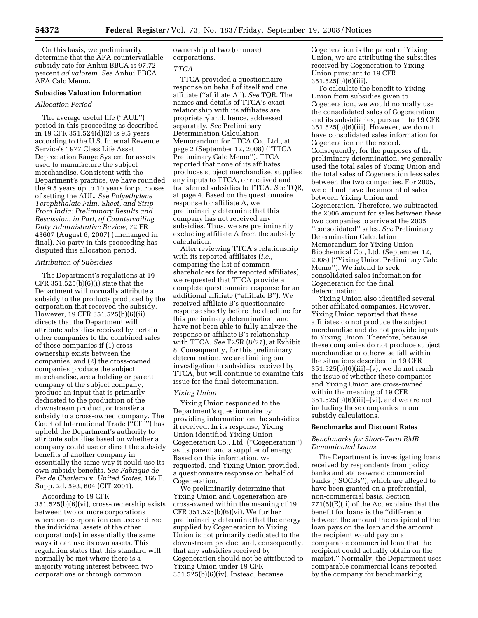On this basis, we preliminarily determine that the AFA countervailable subsidy rate for Anhui BBCA is 97.72 percent *ad valorem*. *See* Anhui BBCA AFA Calc Memo.

# **Subsidies Valuation Information**

## *Allocation Period*

The average useful life (''AUL'') period in this proceeding as described in 19 CFR 351.524(d)(2) is 9.5 years according to the U.S. Internal Revenue Service's 1977 Class Life Asset Depreciation Range System for assets used to manufacture the subject merchandise. Consistent with the Department's practice, we have rounded the 9.5 years up to 10 years for purposes of setting the AUL. *See Polyethylene Terephthalate Film, Sheet, and Strip From India: Preliminary Results and Rescission, in Part, of Countervailing Duty Administrative Review*, 72 FR 43607 (August 6, 2007) (unchanged in final). No party in this proceeding has disputed this allocation period.

## *Attribution of Subsidies*

The Department's regulations at 19 CFR 351.525(b)(6)(i) state that the Department will normally attribute a subsidy to the products produced by the corporation that received the subsidy. However, 19 CFR 351.525(b)(6)(ii) directs that the Department will attribute subsidies received by certain other companies to the combined sales of those companies if (1) crossownership exists between the companies, and (2) the cross-owned companies produce the subject merchandise, are a holding or parent company of the subject company, produce an input that is primarily dedicated to the production of the downstream product, or transfer a subsidy to a cross-owned company. The Court of International Trade (''CIT'') has upheld the Department's authority to attribute subsidies based on whether a company could use or direct the subsidy benefits of another company in essentially the same way it could use its own subsidy benefits. *See Fabrique de Fer de Charleroi* v. *United States*, 166 F. Supp. 2d. 593, 604 (CIT 2001).

According to 19 CFR 351.525(b)(6)(vi), cross-ownership exists between two or more corporations where one corporation can use or direct the individual assets of the other corporation(s) in essentially the same ways it can use its own assets. This regulation states that this standard will normally be met where there is a majority voting interest between two corporations or through common

ownership of two (or more) corporations.

#### *TTCA*

TTCA provided a questionnaire response on behalf of itself and one affiliate (''affiliate A''). *See* TQR. The names and details of TTCA's exact relationship with its affiliates are proprietary and, hence, addressed separately. *See* Preliminary Determination Calculation Memorandum for TTCA Co., Ltd., at page 2 (September 12, 2008) (''TTCA Preliminary Calc Memo''). TTCA reported that none of its affiliates produces subject merchandise, supplies any inputs to TTCA, or received and transferred subsidies to TTCA. *See* TQR, at page 4. Based on the questionnaire response for affiliate A, we preliminarily determine that this company has not received any subsidies. Thus, we are preliminarily excluding affiliate A from the subsidy calculation.

After reviewing TTCA's relationship with its reported affiliates (*i.e.*, comparing the list of common shareholders for the reported affiliates), we requested that TTCA provide a complete questionnaire response for an additional affiliate (''affiliate B''). We received affiliate B's questionnaire response shortly before the deadline for this preliminary determination, and have not been able to fully analyze the response or affiliate B's relationship with TTCA. *See* T2SR (8/27), at Exhibit 8. Consequently, for this preliminary determination, we are limiting our investigation to subsidies received by TTCA, but will continue to examine this issue for the final determination.

#### *Yixing Union*

Yixing Union responded to the Department's questionnaire by providing information on the subsidies it received. In its response, Yixing Union identified Yixing Union Cogeneration Co., Ltd. (''Cogeneration'') as its parent and a supplier of energy. Based on this information, we requested, and Yixing Union provided, a questionnaire response on behalf of Cogeneration.

We preliminarily determine that Yixing Union and Cogeneration are cross-owned within the meaning of 19 CFR 351.525(b)(6)(vi). We further preliminarily determine that the energy supplied by Cogeneration to Yixing Union is not primarily dedicated to the downstream product and, consequently, that any subsidies received by Cogeneration should not be attributed to Yixing Union under 19 CFR 351.525(b)(6)(iv). Instead, because

Cogeneration is the parent of Yixing Union, we are attributing the subsidies received by Cogeneration to Yixing Union pursuant to 19 CFR 351.525(b)(6)(iii).

To calculate the benefit to Yixing Union from subsidies given to Cogeneration, we would normally use the consolidated sales of Cogeneration and its subsidiaries, pursuant to 19 CFR 351.525(b)(6)(iii). However, we do not have consolidated sales information for Cogeneration on the record. Consequently, for the purposes of the preliminary determination, we generally used the total sales of Yixing Union and the total sales of Cogeneration less sales between the two companies. For 2005, we did not have the amount of sales between Yixing Union and Cogeneration. Therefore, we subtracted the 2006 amount for sales between these two companies to arrive at the 2005 ''consolidated'' sales. *See* Preliminary Determination Calculation Memorandum for Yixing Union Biochemical Co., Ltd. (September 12, 2008) (''Yixing Union Preliminary Calc Memo''). We intend to seek consolidated sales information for Cogeneration for the final determination.

Yixing Union also identified several other affiliated companies. However, Yixing Union reported that these affiliates do not produce the subject merchandise and do not provide inputs to Yixing Union. Therefore, because these companies do not produce subject merchandise or otherwise fall within the situations described in 19 CFR  $351.525(b)(6)(iii)–(v)$ , we do not reach the issue of whether these companies and Yixing Union are cross-owned within the meaning of 19 CFR 351.525(b)(6)(iii)–(vi), and we are not including these companies in our subsidy calculations.

#### **Benchmarks and Discount Rates**

# *Benchmarks for Short-Term RMB Denominated Loans*

The Department is investigating loans received by respondents from policy banks and state-owned commercial banks (''SOCBs''), which are alleged to have been granted on a preferential, non-commercial basis. Section 771(5)(E)(ii) of the Act explains that the benefit for loans is the ''difference between the amount the recipient of the loan pays on the loan and the amount the recipient would pay on a comparable commercial loan that the recipient could actually obtain on the market.'' Normally, the Department uses comparable commercial loans reported by the company for benchmarking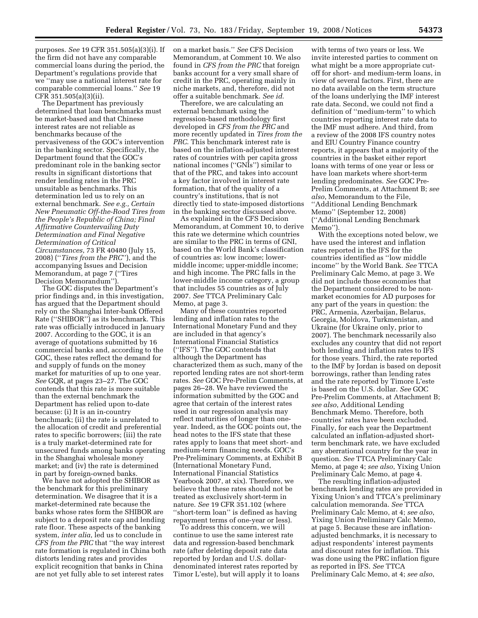purposes. *See* 19 CFR 351.505(a)(3)(i). If the firm did not have any comparable commercial loans during the period, the Department's regulations provide that we ''may use a national interest rate for comparable commercial loans.'' *See* 19 CFR 351.505(a)(3)(ii).

The Department has previously determined that loan benchmarks must be market-based and that Chinese interest rates are not reliable as benchmarks because of the pervasiveness of the GOC's intervention in the banking sector. Specifically, the Department found that the GOC's predominant role in the banking sector results in significant distortions that render lending rates in the PRC unsuitable as benchmarks. This determination led us to rely on an external benchmark. *See e.g., Certain New Pneumatic Off-the-Road Tires from the People's Republic of China; Final Affirmative Countervailing Duty Determination and Final Negative Determination of Critical* 

*Circumstances*, 73 FR 40480 (July 15, 2008) (''*Tires from the PRC*''), and the accompanying Issues and Decision Memorandum, at page 7 (''Tires Decision Memorandum'').

The GOC disputes the Department's prior findings and, in this investigation, has argued that the Department should rely on the Shanghai Inter-bank Offered Rate (''SHIBOR'') as its benchmark. This rate was officially introduced in January 2007. According to the GOC, it is an average of quotations submitted by 16 commercial banks and, according to the GOC, these rates reflect the demand for and supply of funds on the money market for maturities of up to one year. *See* GQR, at pages 23–27. The GOC contends that this rate is more suitable than the external benchmark the Department has relied upon to-date because: (i) It is an in-country benchmark; (ii) the rate is unrelated to the allocation of credit and preferential rates to specific borrowers; (iii) the rate is a truly market-determined rate for unsecured funds among banks operating in the Shanghai wholesale money market; and (iv) the rate is determined in part by foreign-owned banks.

We have not adopted the SHIBOR as the benchmark for this preliminary determination. We disagree that it is a market-determined rate because the banks whose rates form the SHIBOR are subject to a deposit rate cap and lending rate floor. These aspects of the banking system, *inter alia*, led us to conclude in *CFS from the PRC* that ''the way interest rate formation is regulated in China both distorts lending rates and provides explicit recognition that banks in China are not yet fully able to set interest rates

on a market basis.'' *See* CFS Decision Memorandum, at Comment 10. We also found in *CFS from the PRC* that foreign banks account for a very small share of credit in the PRC, operating mainly in niche markets, and, therefore, did not offer a suitable benchmark. *See id*.

Therefore, we are calculating an external benchmark using the regression-based methodology first developed in *CFS from the PRC* and more recently updated in *Tires from the PRC*. This benchmark interest rate is based on the inflation-adjusted interest rates of countries with per capita gross national incomes (''GNIs'') similar to that of the PRC, and takes into account a key factor involved in interest rate formation, that of the quality of a country's institutions, that is not directly tied to state-imposed distortions in the banking sector discussed above.

As explained in the CFS Decision Memorandum, at Comment 10, to derive this rate we determine which countries are similar to the PRC in terms of GNI, based on the World Bank's classification of countries as: low income; lowermiddle income; upper-middle income; and high income. The PRC falls in the lower-middle income category, a group that includes 55 countries as of July 2007. *See* TTCA Preliminary Calc Memo, at page 3.

Many of these countries reported lending and inflation rates to the International Monetary Fund and they are included in that agency's International Financial Statistics (''IFS''). The GOC contends that although the Department has characterized them as such, many of the reported lending rates are not short-term rates. *See* GOC Pre-Prelim Comments, at pages 26–28. We have reviewed the information submitted by the GOC and agree that certain of the interest rates used in our regression analysis may reflect maturities of longer than oneyear. Indeed, as the GOC points out, the head notes to the IFS state that these rates apply to loans that meet short- and medium-term financing needs. GOC's Pre-Preliminary Comments, at Exhibit B (International Monetary Fund, International Financial Statistics Yearbook 2007, at xix). Therefore, we believe that these rates should not be treated as exclusively short-term in nature. *See* 19 CFR 351.102 (where ''short-term loan'' is defined as having repayment terms of one-year or less).

To address this concern, we will continue to use the same interest rate data and regression-based benchmark rate (after deleting deposit rate data reported by Jordan and U.S. dollardenominated interest rates reported by Timor L'este), but will apply it to loans

with terms of two years or less. We invite interested parties to comment on what might be a more appropriate cutoff for short- and medium-term loans, in view of several factors. First, there are no data available on the term structure of the loans underlying the IMF interest rate data. Second, we could not find a definition of ''medium-term'' to which countries reporting interest rate data to the IMF must adhere. And third, from a review of the 2008 IFS country notes and EIU Country Finance country reports, it appears that a majority of the countries in the basket either report loans with terms of one year or less or have loan markets where short-term lending predominates. *See* GOC Pre-Prelim Comments, at Attachment B; *see also*, Memorandum to the File, ''Additional Lending Benchmark Memo'' (September 12, 2008) (''Additional Lending Benchmark Memo'').

With the exceptions noted below, we have used the interest and inflation rates reported in the IFS for the countries identified as ''low middle income'' by the World Bank. *See* TTCA Preliminary Calc Memo, at page 3. We did not include those economies that the Department considered to be nonmarket economies for AD purposes for any part of the years in question: the PRC, Armenia, Azerbaijan, Belarus, Georgia, Moldova, Turkmenistan, and Ukraine (for Ukraine only, prior to 2007). The benchmark necessarily also excludes any country that did not report both lending and inflation rates to IFS for those years. Third, the rate reported to the IMF by Jordan is based on deposit borrowings, rather than lending rates and the rate reported by Timore L'este is based on the U.S. dollar. *See* GOC Pre-Prelim Comments, at Attachment B; *see also*, Additional Lending Benchmark Memo. Therefore, both countries' rates have been excluded. Finally, for each year the Department calculated an inflation-adjusted shortterm benchmark rate, we have excluded any aberrational country for the year in question. *See* TTCA Preliminary Calc Memo, at page 4; *see also*, Yixing Union Preliminary Calc Memo, at page 4.

The resulting inflation-adjusted benchmark lending rates are provided in Yixing Union's and TTCA's preliminary calculation memoranda. *See* TTCA Preliminary Calc Memo, at 4; *see also*, Yixing Union Preliminary Calc Memo, at page 5. Because these are inflationadjusted benchmarks, it is necessary to adjust respondents' interest payments and discount rates for inflation. This was done using the PRC inflation figure as reported in IFS. *See* TTCA Preliminary Calc Memo, at 4; *see also*,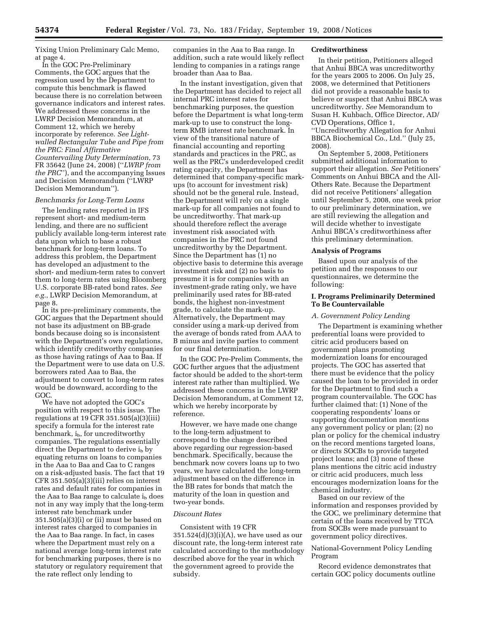Yixing Union Preliminary Calc Memo, at page 4.

In the GOC Pre-Preliminary Comments, the GOC argues that the regression used by the Department to compute this benchmark is flawed because there is no correlation between governance indicators and interest rates. We addressed these concerns in the LWRP Decision Memorandum, at Comment 12, which we hereby incorporate by reference. *See Lightwalled Rectangular Tube and Pipe from the PRC: Final Affirmative Countervailing Duty Determination*, 73 FR 35642 (June 24, 2008) (''*LWRP from the PRC*''), and the accompanying Issues and Decision Memorandum (''LWRP Decision Memorandum'').

# *Benchmarks for Long-Term Loans*

The lending rates reported in IFS represent short- and medium-term lending, and there are no sufficient publicly available long-term interest rate data upon which to base a robust benchmark for long-term loans. To address this problem, the Department has developed an adjustment to the short- and medium-term rates to convert them to long-term rates using Bloomberg U.S. corporate BB-rated bond rates. *See e.g.*, LWRP Decision Memorandum, at page 8.

In its pre-preliminary comments, the GOC argues that the Department should not base its adjustment on BB-grade bonds because doing so is inconsistent with the Department's own regulations, which identify creditworthy companies as those having ratings of Aaa to Baa. If the Department were to use data on U.S. borrowers rated Aaa to Baa, the adjustment to convert to long-term rates would be downward, according to the GOC.

We have not adopted the GOC's position with respect to this issue. The regulations at 19 CFR 351.505(a)(3)(iii) specify a formula for the interest rate benchmark, i<sub>b</sub>, for uncreditworthy companies. The regulations essentially direct the Department to derive  $i<sub>b</sub>$  by equating returns on loans to companies in the Aaa to Baa and Caa to C ranges on a risk-adjusted basis. The fact that 19 CFR 351.505(a)(3)(iii) relies on interest rates and default rates for companies in the Aaa to Baa range to calculate  $i<sub>b</sub>$  does not in any way imply that the long-term interest rate benchmark under  $351.505(a)(3)(i)$  or (ii) must be based on interest rates charged to companies in the Aaa to Baa range. In fact, in cases where the Department must rely on a national average long-term interest rate for benchmarking purposes, there is no statutory or regulatory requirement that the rate reflect only lending to

companies in the Aaa to Baa range. In addition, such a rate would likely reflect lending to companies in a ratings range broader than Aaa to Baa.

In the instant investigation, given that the Department has decided to reject all internal PRC interest rates for benchmarking purposes, the question before the Department is what long-term mark-up to use to construct the longterm RMB interest rate benchmark. In view of the transitional nature of financial accounting and reporting standards and practices in the PRC, as well as the PRC's underdeveloped credit rating capacity, the Department has determined that company-specific markups (to account for investment risk) should not be the general rule. Instead, the Department will rely on a single mark-up for all companies not found to be uncreditworthy. That mark-up should therefore reflect the average investment risk associated with companies in the PRC not found uncreditworthy by the Department. Since the Department has (1) no objective basis to determine this average investment risk and (2) no basis to presume it is for companies with an investment-grade rating only, we have preliminarily used rates for BB-rated bonds, the highest non-investment grade, to calculate the mark-up. Alternatively, the Department may consider using a mark-up derived from the average of bonds rated from AAA to B minus and invite parties to comment for our final determination.

In the GOC Pre-Prelim Comments, the GOC further argues that the adjustment factor should be added to the short-term interest rate rather than multiplied. We addressed these concerns in the LWRP Decision Memorandum, at Comment 12, which we hereby incorporate by reference.

However, we have made one change to the long-term adjustment to correspond to the change described above regarding our regression-based benchmark. Specifically, because the benchmark now covers loans up to two years, we have calculated the long-term adjustment based on the difference in the BB rates for bonds that match the maturity of the loan in question and two-year bonds.

### *Discount Rates*

Consistent with 19 CFR  $351.524(d)(3)(i)(A)$ , we have used as our discount rate, the long-term interest rate calculated according to the methodology described above for the year in which the government agreed to provide the subsidy.

# **Creditworthiness**

In their petition, Petitioners alleged that Anhui BBCA was uncreditworthy for the years 2005 to 2006. On July 25, 2008, we determined that Petitioners did not provide a reasonable basis to believe or suspect that Anhui BBCA was uncreditworthy. *See* Memorandum to Susan H. Kuhbach, Office Director, AD/ CVD Operations, Office 1, ''Uncreditworthy Allegation for Anhui BBCA Biochemical Co., Ltd.'' (July 25, 2008).

On September 5, 2008, Petitioners submitted additional information to support their allegation. *See* Petitioners' Comments on Anhui BBCA and the All-Others Rate. Because the Department did not receive Petitioners' allegation until September 5, 2008, one week prior to our preliminary determination, we are still reviewing the allegation and will decide whether to investigate Anhui BBCA's creditworthiness after this preliminary determination.

### **Analysis of Programs**

Based upon our analysis of the petition and the responses to our questionnaires, we determine the following:

## **I. Programs Preliminarily Determined To Be Countervailable**

## *A. Government Policy Lending*

The Department is examining whether preferential loans were provided to citric acid producers based on government plans promoting modernization loans for encouraged projects. The GOC has asserted that there must be evidence that the policy caused the loan to be provided in order for the Department to find such a program countervailable. The GOC has further claimed that: (1) None of the cooperating respondents' loans or supporting documentation mentions any government policy or plan; (2) no plan or policy for the chemical industry on the record mentions targeted loans, or directs SOCBs to provide targeted project loans; and (3) none of these plans mentions the citric acid industry or citric acid producers, much less encourages modernization loans for the chemical industry.

Based on our review of the information and responses provided by the GOC, we preliminary determine that certain of the loans received by TTCA from SOCBs were made pursuant to government policy directives.

# National-Government Policy Lending Program

Record evidence demonstrates that certain GOC policy documents outline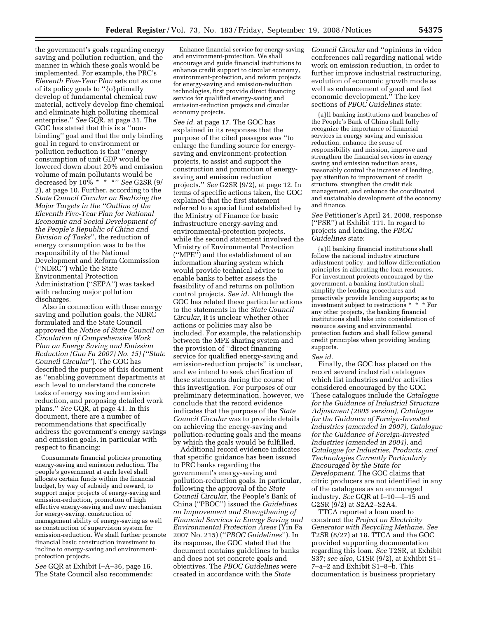the government's goals regarding energy saving and pollution reduction, and the manner in which these goals would be implemented. For example, the PRC's *Eleventh Five-Year Plan* sets out as one of its policy goals to ''{o}ptimally develop of fundamental chemical raw material, actively develop fine chemical and eliminate high polluting chemical enterprise.'' *See* GQR, at page 31. The GOC has stated that this is a ''nonbinding'' goal and that the only binding goal in regard to environment or pollution reduction is that ''energy consumption of unit GDP would be lowered down about 20% and emission volume of main pollutants would be decreased by 10% \* \* \*'' *See* G2SR (9/ 2), at page 10. Further, according to the *State Council Circular on Realizing the Major Targets in the ''Outline of the Eleventh Five-Year Plan for National Economic and Social Development of the People's Republic of China and Division of Tasks*'', the reduction of energy consumption was to be the responsibility of the National Development and Reform Commission (''NDRC'') while the State Environmental Protection Administration (''SEPA'') was tasked with reducing major pollution discharges.

Also in connection with these energy saving and pollution goals, the NDRC formulated and the State Council approved the *Notice of State Council on Circulation of Comprehensive Work Plan on Energy Saving and Emission Reduction (Guo Fa 2007) No. 15) (''State Council Circular*''). The GOC has described the purpose of this document as ''enabling government departments at each level to understand the concrete tasks of energy saving and emission reduction, and proposing detailed work plans.'' *See* GQR, at page 41. In this document, there are a number of recommendations that specifically address the government's energy savings and emission goals, in particular with respect to financing:

Consummate financial policies promoting energy-saving and emission reduction. The people's government at each level shall allocate certain funds within the financial budget, by way of subsidy and reward, to support major projects of energy-saving and emission-reduction, promotion of high effective energy-saving and new mechanism for energy-saving, construction of management ability of energy-saving as well as construction of supervision system for emission-reduction. We shall further promote financial basic construction investment to incline to energy-saving and environmentprotection projects.

*See* GQR at Exhibit I–A–36, page 16. The State Council also recommends:

Enhance financial service for energy-saving and environment-protection. We shall encourage and guide financial institutions to enhance credit support to circular economy, environment-protection, and reform projects for energy-saving and emission-reduction technologies, first provide direct financing service for qualified energy-saving and emission-reduction projects and circular economy projects.

*See id.* at page 17. The GOC has explained in its responses that the purpose of the cited passages was ''to enlarge the funding source for energysaving and environment-protection projects, to assist and support the construction and promotion of energysaving and emission reduction projects.'' *See* G2SR (9/2), at page 12. In terms of specific actions taken, the GOC explained that the first statement referred to a special fund established by the Ministry of Finance for basic infrastructure energy-saving and environmental-protection projects, while the second statement involved the Ministry of Environmental Protection (''MPE'') and the establishment of an information sharing system which would provide technical advice to enable banks to better assess the feasibility of and returns on pollution control projects. *See id.* Although the GOC has related these particular actions to the statements in the *State Council Circular*, it is unclear whether other actions or policies may also be included. For example, the relationship between the MPE sharing system and the provision of ''direct financing service for qualified energy-saving and emission-reduction projects'' is unclear, and we intend to seek clarification of these statements during the course of this investigation. For purposes of our preliminary determination, however, we conclude that the record evidence indicates that the purpose of the *State Council Circular* was to provide details on achieving the energy-saving and pollution-reducing goals and the means by which the goals would be fulfilled.

Additional record evidence indicates that specific guidance has been issued to PRC banks regarding the government's energy-saving and pollution-reduction goals. In particular, following the approval of the *State Council Circular*, the People's Bank of China (''PBOC'') issued the *Guidelines on Improvement and Strengthening of Financial Services in Energy Saving and Environmental Protection Areas* (Yin Fa 2007 No. 215) (''*PBOC Guidelines*''). In its response, the GOC stated that the document contains guidelines to banks and does not set concrete goals and objectives. The *PBOC Guidelines* were created in accordance with the *State* 

*Council Circular* and ''opinions in video conferences call regarding national wide work on emission reduction, in order to further improve industrial restructuring, evolution of economic growth mode as well as enhancement of good and fast economic development.'' The key sections of *PBOC Guidelines* state:

{a}ll banking institutions and branches of the People's Bank of China shall fully recognize the importance of financial services in energy saving and emission reduction, enhance the sense of responsibility and mission, improve and strengthen the financial services in energy saving and emission reduction areas, reasonably control the increase of lending, pay attention to improvement of credit structure, strengthen the credit risk management, and enhance the coordinated and sustainable development of the economy and finance.

*See* Petitioner's April 24, 2008, response (''PSR'') at Exhibit 111. In regard to projects and lending, the *PBOC Guidelines* state:

{a}ll banking financial institutions shall follow the national industry structure adjustment policy, and follow differentiation principles in allocating the loan resources. For investment projects encouraged by the government, a banking institution shall simplify the lending procedures and proactively provide lending supports; as to investment subject to restrictions \* \* \* For any other projects, the banking financial institutions shall take into consideration of resource saving and environmental protection factors and shall follow general credit principles when providing lending supports. *See id.* 

Finally, the GOC has placed on the record several industrial catalogues which list industries and/or activities considered encouraged by the GOC. These catalogues include the *Catalogue for the Guidance of Industrial Structure Adjustment (2005 version), Catalogue for the Guidance of Foreign-Invested Industries (amended in 2007), Catalogue for the Guidance of Foreign-Invested Industries (amended in 2004)*, and *Catalogue for Industries, Products, and Technologies Currently Particularly Encouraged by the State for Development*. The GOC claims that citric producers are not identified in any of the catalogues as an encouraged industry. *See* GQR at I–10—I–15 and G2SR (9/2) at S2A2–S2A4.

TTCA reported a loan used to construct the *Project on Electricity Generator with Recycling Methane*. *See*  T2SR (8/27) at 18. TTCA and the GOC provided supporting documentation regarding this loan. *See* T2SR, at Exhibit S37; *see also*, G1SR (9/2), at Exhibit S1– 7–a–2 and Exhibit S1–8–b. This documentation is business proprietary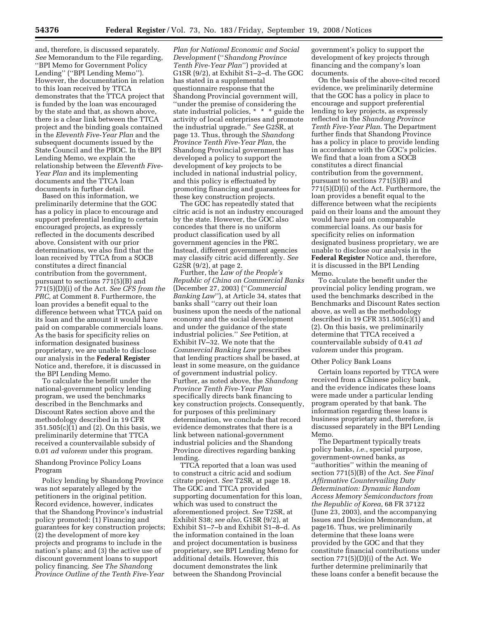and, therefore, is discussed separately. *See* Memorandum to the File regarding, ''BPI Memo for Government Policy Lending'' (''BPI Lending Memo''). However, the documentation in relation to this loan received by TTCA demonstrates that the TTCA project that is funded by the loan was encouraged by the state and that, as shown above, there is a clear link between the TTCA project and the binding goals contained in the *Eleventh Five-Year Plan* and the subsequent documents issued by the State Council and the PBOC. In the BPI Lending Memo, we explain the relationship between the *Eleventh Five-Year Plan* and its implementing documents and the TTCA loan documents in further detail.

Based on this information, we preliminarily determine that the GOC has a policy in place to encourage and support preferential lending to certain encouraged projects, as expressly reflected in the documents described above. Consistent with our prior determinations, we also find that the loan received by TTCA from a SOCB constitutes a direct financial contribution from the government, pursuant to sections 771(5)(B) and 771(5)(D)(i) of the Act. *See CFS from the PRC*, at Comment 8. Furthermore, the loan provides a benefit equal to the difference between what TTCA paid on its loan and the amount it would have paid on comparable commercials loans. As the basis for specificity relies on information designated business proprietary, we are unable to disclose our analysis in the **Federal Register**  Notice and, therefore, it is discussed in the BPI Lending Memo.

To calculate the benefit under the national-government policy lending program, we used the benchmarks described in the Benchmarks and Discount Rates section above and the methodology described in 19 CFR 351.505(c)(1) and (2). On this basis, we preliminarily determine that TTCA received a countervailable subsidy of 0.01 *ad valorem* under this program.

# Shandong Province Policy Loans Program

Policy lending by Shandong Province was not separately alleged by the petitioners in the original petition. Record evidence, however, indicates that the Shandong Province's industrial policy promoted: (1) Financing and guarantees for key construction projects; (2) the development of more key projects and programs to include in the nation's plans; and (3) the active use of discount government loans to support policy financing. *See The Shandong Province Outline of the Tenth Five-Year* 

*Plan for National Economic and Social Development* (''*Shandong Province Tenth Five-Year Plan*'') provided at G1SR (9/2), at Exhibit S1–2–d. The GOC has stated in a supplemental questionnaire response that the Shandong Provincial government will, ''under the premise of considering the state industrial policies, \* \* \* guide the activity of local enterprises and promote the industrial upgrade.'' *See* G2SR, at page 13. Thus, through the *Shandong Province Tenth Five-Year Plan*, the Shandong Provincial government has developed a policy to support the development of key projects to be included in national industrial policy, and this policy is effectuated by promoting financing and guarantees for these key construction projects.

The GOC has repeatedly stated that citric acid is not an industry encouraged by the state. However, the GOC also concedes that there is no uniform product classification used by all government agencies in the PRC. Instead, different government agencies may classify citric acid differently. *See*  G2SR (9/2), at page 2.

Further, the *Law of the People's Republic of China on Commercial Banks*  (December 27, 2003) (''*Commercial Banking Law*''), at Article 34, states that banks shall ''carry out their loan business upon the needs of the national economy and the social development and under the guidance of the state industrial policies.'' *See* Petition, at Exhibit IV–32. We note that the *Commercial Banking Law* prescribes that lending practices shall be based, at least in some measure, on the guidance of government industrial policy. Further, as noted above, the *Shandong Province Tenth Five-Year Plan*  specifically directs bank financing to key construction projects. Consequently, for purposes of this preliminary determination, we conclude that record evidence demonstrates that there is a link between national-government industrial policies and the Shandong Province directives regarding banking lending.

TTCA reported that a loan was used to construct a citric acid and sodium citrate project. *See* T2SR, at page 18. The GOC and TTCA provided supporting documentation for this loan, which was used to construct the aforementioned project. *See* T2SR, at Exhibit S38; *see also*, G1SR (9/2), at Exhibit S1–7–b and Exhibit S1–8–d. As the information contained in the loan and project documentation is business proprietary, see BPI Lending Memo for additional details. However, this document demonstrates the link between the Shandong Provincial

government's policy to support the development of key projects through financing and the company's loan documents.

On the basis of the above-cited record evidence, we preliminarily determine that the GOC has a policy in place to encourage and support preferential lending to key projects, as expressly reflected in the *Shandong Province Tenth Five-Year Plan*. The Department further finds that Shandong Province has a policy in place to provide lending in accordance with the GOC's policies. We find that a loan from a SOCB constitutes a direct financial contribution from the government, pursuant to sections 771(5)(B) and 771(5)(D)(i) of the Act. Furthermore, the loan provides a benefit equal to the difference between what the recipients paid on their loans and the amount they would have paid on comparable commercial loans. As our basis for specificity relies on information designated business proprietary, we are unable to disclose our analysis in the **Federal Register** Notice and, therefore, it is discussed in the BPI Lending Memo.

To calculate the benefit under the provincial policy lending program, we used the benchmarks described in the Benchmarks and Discount Rates section above, as well as the methodology described in 19 CFR 351.505 $(c)(1)$  and (2). On this basis, we preliminarily determine that TTCA received a countervailable subsidy of 0.41 *ad valorem* under this program.

#### Other Policy Bank Loans

Certain loans reported by TTCA were received from a Chinese policy bank, and the evidence indicates these loans were made under a particular lending program operated by that bank. The information regarding these loans is business proprietary and, therefore, is discussed separately in the BPI Lending Memo.

The Department typically treats policy banks, *i.e.*, special purpose, government-owned banks, as ''authorities'' within the meaning of section 771(5)(B) of the Act. *See Final Affirmative Countervailing Duty Determination: Dynamic Random Access Memory Semiconductors from the Republic of Korea*, 68 FR 37122 (June 23, 2003), and the accompanying Issues and Decision Memorandum, at page16. Thus, we preliminarily determine that these loans were provided by the GOC and that they constitute financial contributions under section  $771(5)(D)(i)$  of the Act. We further determine preliminarily that these loans confer a benefit because the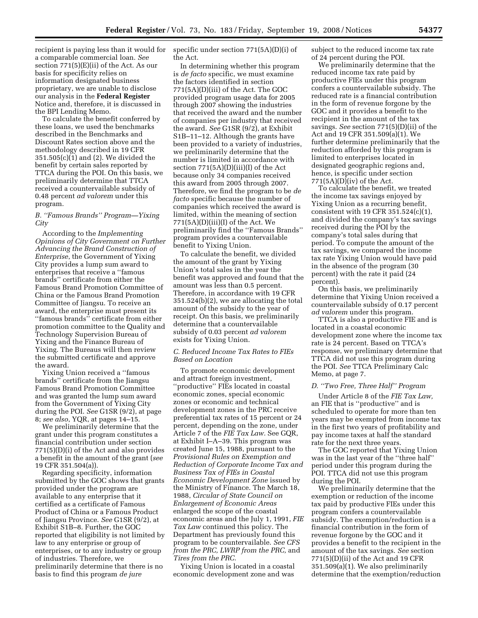recipient is paying less than it would for a comparable commercial loan. *See*  section 771(5)(E)(ii) of the Act. As our basis for specificity relies on information designated business proprietary, we are unable to disclose our analysis in the **Federal Register**  Notice and, therefore, it is discussed in the BPI Lending Memo.

To calculate the benefit conferred by these loans, we used the benchmarks described in the Benchmarks and Discount Rates section above and the methodology described in 19 CFR 351.505(c)(1) and (2). We divided the benefit by certain sales reported by TTCA during the POI. On this basis, we preliminarily determine that TTCA received a countervailable subsidy of 0.48 percent *ad valorem* under this program.

# *B. ''Famous Brands'' Program—Yixing City*

According to the *Implementing Opinions of City Government on Further Advancing the Brand Construction of Enterprise*, the Government of Yixing City provides a lump sum award to enterprises that receive a ''famous brands'' certificate from either the Famous Brand Promotion Committee of China or the Famous Brand Promotion Committee of Jiangsu. To receive an award, the enterprise must present its ''famous brands'' certificate from either promotion committee to the Quality and Technology Supervision Bureau of Yixing and the Finance Bureau of Yixing. The Bureaus will then review the submitted certificate and approve the award.

Yixing Union received a ''famous brands'' certificate from the Jiangsu Famous Brand Promotion Committee and was granted the lump sum award from the Government of Yixing City during the POI. *See* G1SR (9/2), at page 8; *see also*, YQR, at pages 14–15.

We preliminarily determine that the grant under this program constitutes a financial contribution under section 771(5)(D)(i) of the Act and also provides a benefit in the amount of the grant (*see*  19 CFR 351.504(a)).

Regarding specificity, information submitted by the GOC shows that grants provided under the program are available to any enterprise that it certified as a certificate of Famous Product of China or a Famous Product of Jiangsu Province. *See* G1SR (9/2), at Exhibit S1B–8. Further, the GOC reported that eligibility is not limited by law to any enterprise or group of enterprises, or to any industry or group of industries. Therefore, we preliminarily determine that there is no basis to find this program *de jure* 

specific under section 771(5A)(D)(i) of the Act.

In determining whether this program is *de facto* specific, we must examine the factors identified in section 771(5A)(D)(iii) of the Act. The GOC provided program usage data for 2005 through 2007 showing the industries that received the award and the number of companies per industry that received the award. *See* G1SR (9/2), at Exhibit S1B–11–12. Although the grants have been provided to a variety of industries, we preliminarily determine that the number is limited in accordance with section 771(5A)(D)(iii)(I) of the Act because only 34 companies received this award from 2005 through 2007. Therefore, we find the program to be *de facto* specific because the number of companies which received the award is limited, within the meaning of section  $771(5A)(D)(iii)(I)$  of the Act. We preliminarily find the ''Famous Brands'' program provides a countervailable benefit to Yixing Union.

To calculate the benefit, we divided the amount of the grant by Yixing Union's total sales in the year the benefit was approved and found that the amount was less than 0.5 percent. Therefore, in accordance with 19 CFR 351.524(b)(2), we are allocating the total amount of the subsidy to the year of receipt. On this basis, we preliminarily determine that a countervailable subsidy of 0.03 percent *ad valorem*  exists for Yixing Union.

# *C. Reduced Income Tax Rates to FIEs Based on Location*

To promote economic development and attract foreign investment, ''productive'' FIEs located in coastal economic zones, special economic zones or economic and technical development zones in the PRC receive preferential tax rates of 15 percent or 24 percent, depending on the zone, under Article 7 of the *FIE Tax Law.* See GQR, at Exhibit I–A–39. This program was created June 15, 1988, pursuant to the *Provisional Rules on Exemption and Reduction of Corporate Income Tax and Business Tax of FIEs in Coastal Economic Development Zone* issued by the Ministry of Finance. The March 18, 1988, *Circular of State Council on Enlargement of Economic Areas*  enlarged the scope of the coastal economic areas and the July 1, 1991, *FIE Tax Law* continued this policy. The Department has previously found this program to be countervailable. *See CFS from the PRC, LWRP from the PRC,* and *Tires from the PRC.* 

Yixing Union is located in a coastal economic development zone and was

subject to the reduced income tax rate of 24 percent during the POI.

We preliminarily determine that the reduced income tax rate paid by productive FIEs under this program confers a countervailable subsidy. The reduced rate is a financial contribution in the form of revenue forgone by the GOC and it provides a benefit to the recipient in the amount of the tax savings. *See* section 771(5)(D)(ii) of the Act and 19 CFR 351.509(a)(1). We further determine preliminarily that the reduction afforded by this program is limited to enterprises located in designated geographic regions and, hence, is specific under section 771(5A)(D)(iv) of the Act.

To calculate the benefit, we treated the income tax savings enjoyed by Yixing Union as a recurring benefit, consistent with 19 CFR 351.524(c)(1), and divided the company's tax savings received during the POI by the company's total sales during that period. To compute the amount of the tax savings, we compared the income tax rate Yixing Union would have paid in the absence of the program (30 percent) with the rate it paid (24 percent).

On this basis, we preliminarily determine that Yixing Union received a countervailable subsidy of 0.17 percent *ad valorem* under this program.

TTCA is also a productive FIE and is located in a coastal economic development zone where the income tax rate is 24 percent. Based on TTCA's response, we preliminary determine that TTCA did not use this program during the POI. *See* TTCA Preliminary Calc Memo, at page 7.

# *D. ''Two Free, Three Half'' Program*

Under Article 8 of the *FIE Tax Law,*  an FIE that is ''productive'' and is scheduled to operate for more than ten years may be exempted from income tax in the first two years of profitability and pay income taxes at half the standard rate for the next three years.

The GOC reported that Yixing Union was in the last year of the ''three half'' period under this program during the POI. TTCA did not use this program during the POI.

We preliminarily determine that the exemption or reduction of the income tax paid by productive FIEs under this program confers a countervailable subsidy. The exemption/reduction is a financial contribution in the form of revenue forgone by the GOC and it provides a benefit to the recipient in the amount of the tax savings. *See* section 771(5)(D)(ii) of the Act and 19 CFR 351.509(a)(1). We also preliminarily determine that the exemption/reduction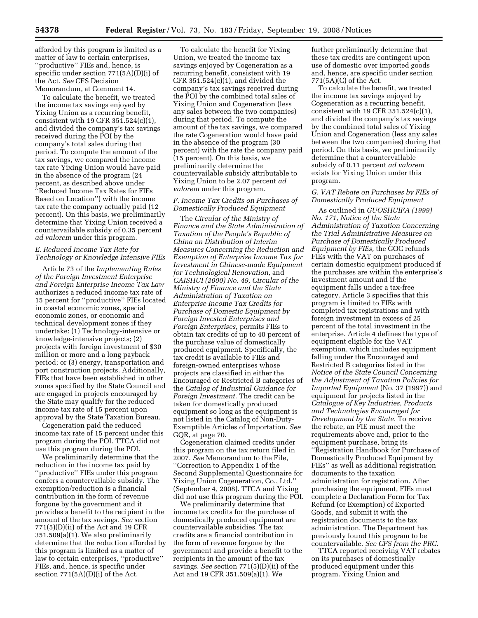afforded by this program is limited as a matter of law to certain enterprises, ''productive'' FIEs and, hence, is specific under section 771(5A)(D)(i) of the Act. *See* CFS Decision Memorandum, at Comment 14.

To calculate the benefit, we treated the income tax savings enjoyed by Yixing Union as a recurring benefit, consistent with 19 CFR 351.524(c)(1), and divided the company's tax savings received during the POI by the company's total sales during that period. To compute the amount of the tax savings, we compared the income tax rate Yixing Union would have paid in the absence of the program (24 percent, as described above under ''Reduced Income Tax Rates for FIEs Based on Location'') with the income tax rate the company actually paid (12 percent). On this basis, we preliminarily determine that Yixing Union received a countervailable subsidy of 0.35 percent *ad valorem* under this program.

# *E. Reduced Income Tax Rate for Technology or Knowledge Intensive FIEs*

Article 73 of the *Implementing Rules of the Foreign Investment Enterprise and Foreign Enterprise Income Tax Law*  authorizes a reduced income tax rate of 15 percent for ''productive'' FIEs located in coastal economic zones, special economic zones, or economic and technical development zones if they undertake: (1) Technology-intensive or knowledge-intensive projects; (2) projects with foreign investment of \$30 million or more and a long payback period; or (3) energy, transportation and port construction projects. Additionally, FIEs that have been established in other zones specified by the State Council and are engaged in projects encouraged by the State may qualify for the reduced income tax rate of 15 percent upon approval by the State Taxation Bureau.

Cogeneration paid the reduced income tax rate of 15 percent under this program during the POI. TTCA did not use this program during the POI.

We preliminarily determine that the reduction in the income tax paid by ''productive'' FIEs under this program confers a countervailable subsidy. The exemption/reduction is a financial contribution in the form of revenue forgone by the government and it provides a benefit to the recipient in the amount of the tax savings. *See* section  $771(5)(D)(ii)$  of the Act and 19 CFR 351.509(a)(1). We also preliminarily determine that the reduction afforded by this program is limited as a matter of law to certain enterprises, ''productive'' FIEs, and, hence, is specific under section 771(5A)(D)(i) of the Act.

To calculate the benefit for Yixing Union, we treated the income tax savings enjoyed by Cogeneration as a recurring benefit, consistent with 19 CFR  $351.524(c)(1)$ , and divided the company's tax savings received during the POI by the combined total sales of Yixing Union and Cogeneration (less any sales between the two companies) during that period. To compute the amount of the tax savings, we compared the rate Cogeneration would have paid in the absence of the program (30 percent) with the rate the company paid (15 percent). On this basis, we preliminarily determine the countervailable subsidy attributable to Yixing Union to be 2.07 percent *ad valorem* under this program.

# *F. Income Tax Credits on Purchases of Domestically Produced Equipment*

The *Circular of the Ministry of Finance and the State Administration of Taxation of the People's Republic of China on Distribution of Interim Measures Concerning the Reduction and Exemption of Enterprise Income Tax for Investment in Chinese-made Equipment for Technological Renovation,* and *CAISHUI (2000) No. 49, Circular of the Ministry of Finance and the State Administration of Taxation on Enterprise Income Tax Credits for Purchase of Domestic Equipment by Foreign Invested Enterprises and Foreign Enterprises,* permits FIEs to obtain tax credits of up to 40 percent of the purchase value of domestically produced equipment. Specifically, the tax credit is available to FIEs and foreign-owned enterprises whose projects are classified in either the Encouraged or Restricted B categories of the *Catalog of Industrial Guidance for Foreign Investment.* The credit can be taken for domestically produced equipment so long as the equipment is not listed in the Catalog of Non-Duty-Exemptible Articles of Importation. *See*  GQR, at page 70.

Cogeneration claimed credits under this program on the tax return filed in 2007. *See* Memorandum to the File, ''Correction to Appendix 1 of the Second Supplemental Questionnaire for Yixing Union Cogeneration, Co., Ltd.'' (September 4, 2008). TTCA and Yixing did not use this program during the POI.

We preliminarily determine that income tax credits for the purchase of domestically produced equipment are countervailable subsidies. The tax credits are a financial contribution in the form of revenue forgone by the government and provide a benefit to the recipients in the amount of the tax savings. *See* section 771(5)(D)(ii) of the Act and 19 CFR 351.509(a)(1). We

further preliminarily determine that these tax credits are contingent upon use of domestic over imported goods and, hence, are specific under section 771(5A)(C) of the Act.

To calculate the benefit, we treated the income tax savings enjoyed by Cogeneration as a recurring benefit, consistent with 19 CFR 351.524(c)(1), and divided the company's tax savings by the combined total sales of Yixing Union and Cogeneration (less any sales between the two companies) during that period. On this basis, we preliminarily determine that a countervailable subsidy of 0.11 percent *ad valorem*  exists for Yixing Union under this program.

# *G. VAT Rebate on Purchases by FIEs of Domestically Produced Equipment*

As outlined in *GUOSHUIFA (1999) No. 171, Notice of the State Administration of Taxation Concerning the Trial Administrative Measures on Purchase of Domestically Produced Equipment by FIEs,* the GOC refunds FIEs with the VAT on purchases of certain domestic equipment produced if the purchases are within the enterprise's investment amount and if the equipment falls under a tax-free category. Article 3 specifies that this program is limited to FIEs with completed tax registrations and with foreign investment in excess of 25 percent of the total investment in the enterprise. Article 4 defines the type of equipment eligible for the VAT exemption, which includes equipment falling under the Encouraged and Restricted B categories listed in the *Notice of the State Council Concerning the Adjustment of Taxation Policies for Imported Equipment* (No. 37 (1997)) and equipment for projects listed in the *Catalogue of Key Industries, Products and Technologies Encouraged for Development by the State.* To receive the rebate, an FIE must meet the requirements above and, prior to the equipment purchase, bring its ''Registration Handbook for Purchase of Domestically Produced Equipment by FIEs'' as well as additional registration documents to the taxation administration for registration. After purchasing the equipment, FIEs must complete a Declaration Form for Tax Refund (or Exemption) of Exported Goods, and submit it with the registration documents to the tax administration. The Department has previously found this program to be countervailable. *See CFS from the PRC.* 

TTCA reported receiving VAT rebates on its purchases of domestically produced equipment under this program. Yixing Union and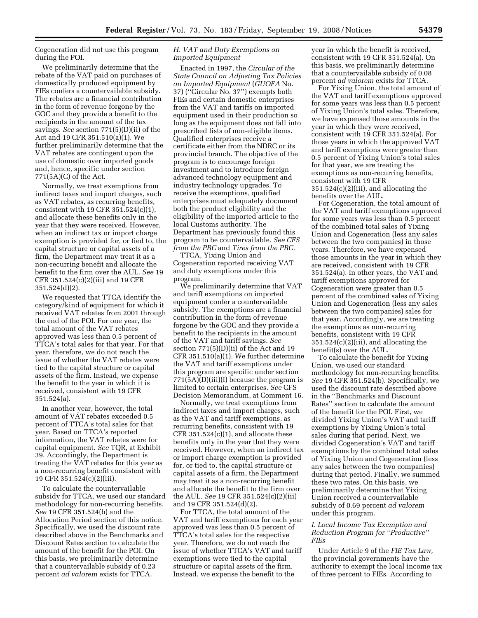Cogeneration did not use this program during the POI.

We preliminarily determine that the rebate of the VAT paid on purchases of domestically produced equipment by FIEs confers a countervailable subsidy. The rebates are a financial contribution in the form of revenue forgone by the GOC and they provide a benefit to the recipients in the amount of the tax savings. *See* section 771(5)(D)(ii) of the Act and 19 CFR 351.510(a)(1). We further preliminarily determine that the VAT rebates are contingent upon the use of domestic over imported goods and, hence, specific under section 771(5A)(C) of the Act.

Normally, we treat exemptions from indirect taxes and import charges, such as VAT rebates, as recurring benefits, consistent with 19 CFR 351.524(c)(1), and allocate these benefits only in the year that they were received. However, when an indirect tax or import charge exemption is provided for, or tied to, the capital structure or capital assets of a firm, the Department may treat it as a non-recurring benefit and allocate the benefit to the firm over the AUL. *See* 19 CFR 351.524(c)(2)(iii) and 19 CFR 351.524(d)(2).

We requested that TTCA identify the category/kind of equipment for which it received VAT rebates from 2001 through the end of the POI. For one year, the total amount of the VAT rebates approved was less than 0.5 percent of TTCA's total sales for that year. For that year, therefore, we do not reach the issue of whether the VAT rebates were tied to the capital structure or capital assets of the firm. Instead, we expense the benefit to the year in which it is received, consistent with 19 CFR 351.524(a).

In another year, however, the total amount of VAT rebates exceeded 0.5 percent of TTCA's total sales for that year. Based on TTCA's reported information, the VAT rebates were for capital equipment. *See* TQR, at Exhibit 39. Accordingly, the Department is treating the VAT rebates for this year as a non-recurring benefit consistent with 19 CFR 351.524(c)(2)(iii).

To calculate the countervailable subsidy for TTCA, we used our standard methodology for non-recurring benefits. *See* 19 CFR 351.524(b) and the Allocation Period section of this notice. Specifically, we used the discount rate described above in the Benchmarks and Discount Rates section to calculate the amount of the benefit for the POI. On this basis, we preliminarily determine that a countervailable subsidy of 0.23 percent *ad valorem* exists for TTCA.

# *H. VAT and Duty Exemptions on Imported Equipment*

Enacted in 1997, the *Circular of the State Council on Adjusting Tax Policies on Imported Equipment* (*GUOFA* No. 37) (''Circular No. 37'') exempts both FIEs and certain domestic enterprises from the VAT and tariffs on imported equipment used in their production so long as the equipment does not fall into prescribed lists of non-eligible items. Qualified enterprises receive a certificate either from the NDRC or its provincial branch. The objective of the program is to encourage foreign investment and to introduce foreign advanced technology equipment and industry technology upgrades. To receive the exemptions, qualified enterprises must adequately document both the product eligibility and the eligibility of the imported article to the local Customs authority. The Department has previously found this program to be countervailable. *See CFS from the PRC* and *Tires from the PRC.* 

TTCA, Yixing Union and Cogeneration reported receiving VAT and duty exemptions under this program.

We preliminarily determine that VAT and tariff exemptions on imported equipment confer a countervailable subsidy. The exemptions are a financial contribution in the form of revenue forgone by the GOC and they provide a benefit to the recipients in the amount of the VAT and tariff savings. *See*  section 771(5)(D)(ii) of the Act and 19 CFR 351.510(a)(1). We further determine the VAT and tariff exemptions under this program are specific under section 771(5A)(D)(iii)(I) because the program is limited to certain enterprises. *See* CFS Decision Memorandum, at Comment 16.

Normally, we treat exemptions from indirect taxes and import charges, such as the VAT and tariff exemptions, as recurring benefits, consistent with 19  $CFR 351.524(c)(1)$ , and allocate these benefits only in the year that they were received. However, when an indirect tax or import charge exemption is provided for, or tied to, the capital structure or capital assets of a firm, the Department may treat it as a non-recurring benefit and allocate the benefit to the firm over the AUL. *See* 19 CFR 351.524(c)(2)(iii) and 19 CFR 351.524(d)(2).

For TTCA, the total amount of the VAT and tariff exemptions for each year approved was less than 0.5 percent of TTCA's total sales for the respective year. Therefore, we do not reach the issue of whether TTCA's VAT and tariff exemptions were tied to the capital structure or capital assets of the firm. Instead, we expense the benefit to the

year in which the benefit is received, consistent with 19 CFR 351.524(a). On this basis, we preliminarily determine that a countervailable subsidy of 0.08 percent *ad valorem* exists for TTCA.

For Yixing Union, the total amount of the VAT and tariff exemptions approved for some years was less than 0.5 percent of Yixing Union's total sales. Therefore, we have expensed those amounts in the year in which they were received, consistent with 19 CFR 351.524(a). For those years in which the approved VAT and tariff exemptions were greater than 0.5 percent of Yixing Union's total sales for that year, we are treating the exemptions as non-recurring benefits, consistent with 19 CFR  $351.524(c)(2)(iii)$ , and allocating the benefits over the AUL.

For Cogeneration, the total amount of the VAT and tariff exemptions approved for some years was less than 0.5 percent of the combined total sales of Yixing Union and Cogeneration (less any sales between the two companies) in those years. Therefore, we have expensed those amounts in the year in which they are received, consistent with 19 CFR 351.524(a). In other years, the VAT and tariff exemptions approved for Cogeneration were greater than 0.5 percent of the combined sales of Yixing Union and Cogeneration (less any sales between the two companies) sales for that year. Accordingly, we are treating the exemptions as non-recurring benefits, consistent with 19 CFR  $351.524(c)(2)(iii)$ , and allocating the benefit(s) over the AUL.

To calculate the benefit for Yixing Union, we used our standard methodology for non-recurring benefits. *See* 19 CFR 351.524(b). Specifically, we used the discount rate described above in the ''Benchmarks and Discount Rates'' section to calculate the amount of the benefit for the POI. First, we divided Yixing Union's VAT and tariff exemptions by Yixing Union's total sales during that period. Next, we divided Cogeneration's VAT and tariff exemptions by the combined total sales of Yixing Union and Cogeneration (less any sales between the two companies) during that period. Finally, we summed these two rates. On this basis, we preliminarily determine that Yixing Union received a countervailable subsidy of 0.69 percent *ad valorem*  under this program.

# *I. Local Income Tax Exemption and Reduction Program for ''Productive'' FIEs*

Under Article 9 of the *FIE Tax Law,*  the provincial governments have the authority to exempt the local income tax of three percent to FIEs. According to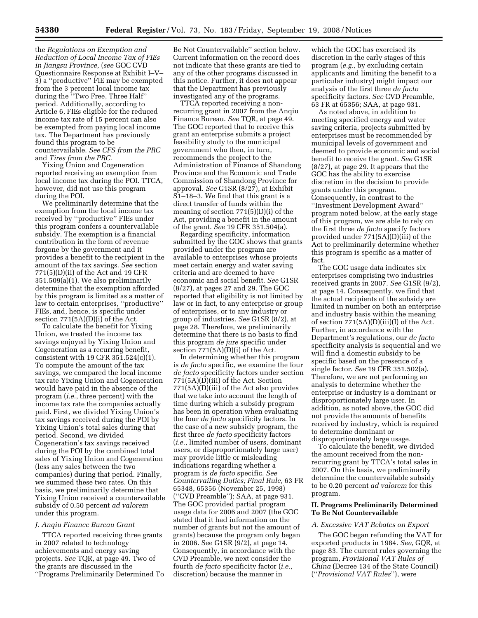the *Regulations on Exemption and Reduction of Local Income Tax of FIEs in Jiangsu Province,* (*see* GOC CVD Questionnaire Response at Exhibit I–V– 3) a ''productive'' FIE may be exempted from the 3 percent local income tax during the ''Two Free, Three Half'' period. Additionally, according to Article 6, FIEs eligible for the reduced income tax rate of 15 percent can also be exempted from paying local income tax. The Department has previously found this program to be countervailable. *See CFS from the PRC*  and *Tires from the PRC.* 

Yixing Union and Cogeneration reported receiving an exemption from local income tax during the POI. TTCA, however, did not use this program during the POI.

We preliminarily determine that the exemption from the local income tax received by ''productive'' FIEs under this program confers a countervailable subsidy. The exemption is a financial contribution in the form of revenue forgone by the government and it provides a benefit to the recipient in the amount of the tax savings. *See* section 771(5)(D)(ii) of the Act and 19 CFR 351.509(a)(1). We also preliminarily determine that the exemption afforded by this program is limited as a matter of law to certain enterprises, ''productive'' FIEs, and, hence, is specific under section  $771(5A)(D)(i)$  of the Act.

To calculate the benefit for Yixing Union, we treated the income tax savings enjoyed by Yixing Union and Cogeneration as a recurring benefit, consistent with 19 CFR 351.524(c)(1). To compute the amount of the tax savings, we compared the local income tax rate Yixing Union and Cogeneration would have paid in the absence of the program (*i.e.*, three percent) with the income tax rate the companies actually paid. First, we divided Yixing Union's tax savings received during the POI by Yixing Union's total sales during that period. Second, we divided Cogeneration's tax savings received during the POI by the combined total sales of Yixing Union and Cogeneration (less any sales between the two companies) during that period. Finally, we summed these two rates. On this basis, we preliminarily determine that Yixing Union received a countervailable subsidy of 0.50 percent *ad valorem*  under this program.

### *J. Anqiu Finance Bureau Grant*

TTCA reported receiving three grants in 2007 related to technology achievements and energy saving projects. *See* TQR, at page 49. Two of the grants are discussed in the ''Programs Preliminarily Determined To

Be Not Countervailable'' section below. Current information on the record does not indicate that these grants are tied to any of the other programs discussed in this notice. Further, it does not appear that the Department has previously investigated any of the programs.

TTCA reported receiving a nonrecurring grant in 2007 from the Anqiu Finance Bureau. *See* TQR, at page 49. The GOC reported that to receive this grant an enterprise submits a project feasibility study to the municipal government who then, in turn, recommends the project to the Administration of Finance of Shandong Province and the Economic and Trade Commission of Shandong Province for approval. *See* G1SR (8/27), at Exhibit S1–18–3. We find that this grant is a direct transfer of funds within the meaning of section 771(5)(D)(i) of the Act, providing a benefit in the amount of the grant. *See* 19 CFR 351.504(a).

Regarding specificity, information submitted by the GOC shows that grants provided under the program are available to enterprises whose projects meet certain energy and water saving criteria and are deemed to have economic and social benefit. *See* G1SR (8/27), at pages 27 and 29. The GOC reported that eligibility is not limited by law or in fact, to any enterprise or group of enterprises, or to any industry or group of industries. *See* G1SR (8/2), at page 28. Therefore, we preliminarily determine that there is no basis to find this program *de jure* specific under section  $771(5A)(D)(i)$  of the Act.

In determining whether this program is *de facto* specific, we examine the four *de facto* specificity factors under section 771(5A)(D)(iii) of the Act. Section 771(5A)(D)(iii) of the Act also provides that we take into account the length of time during which a subsidy program has been in operation when evaluating the four *de facto* specificity factors. In the case of a new subsidy program, the first three *de facto* specificity factors (*i.e.*, limited number of users, dominant users, or disproportionately large user) may provide little or misleading indications regarding whether a program is *de facto* specific. *See Countervailing Duties; Final Rule*, 63 FR 65348, 65356 (November 25, 1998) (''CVD Preamble''); SAA, at page 931. The GOC provided partial program usage data for 2006 and 2007 (the GOC stated that it had information on the number of grants but not the amount of grants) because the program only began in 2006. See G1SR (9/2), at page 14. Consequently, in accordance with the CVD Preamble, we next consider the fourth *de facto* specificity factor (*i.e.*, discretion) because the manner in

which the GOC has exercised its discretion in the early stages of this program (*e.g.*, by excluding certain applicants and limiting the benefit to a particular industry) might impact our analysis of the first three *de facto*  specificity factors. *See* CVD Preamble, 63 FR at 65356; SAA, at page 931.

As noted above, in addition to meeting specified energy and water saving criteria, projects submitted by enterprises must be recommended by municipal levels of government and deemed to provide economic and social benefit to receive the grant. *See* G1SR (8/27), at page 29. It appears that the GOC has the ability to exercise discretion in the decision to provide grants under this program. Consequently, in contrast to the ''Investment Development Award'' program noted below, at the early stage of this program, we are able to rely on the first three *de facto* specify factors provided under 771(5A)(D)(iii) of the Act to preliminarily determine whether this program is specific as a matter of fact.

The GOC usage data indicates six enterprises comprising two industries received grants in 2007. *See* G1SR (9/2), at page 14. Consequently, we find that the actual recipients of the subsidy are limited in number on both an enterprise and industry basis within the meaning of section 771(5A)(D)(iii)(I) of the Act. Further, in accordance with the Department's regulations, our *de facto*  specificity analysis is sequential and we will find a domestic subsidy to be specific based on the presence of a single factor. *See* 19 CFR 351.502(a). Therefore, we are not performing an analysis to determine whether the enterprise or industry is a dominant or disproportionately large user. In addition, as noted above, the GOC did not provide the amounts of benefits received by industry, which is required to determine dominant or disproportionately large usage.

To calculate the benefit, we divided the amount received from the nonrecurring grant by TTCA's total sales in 2007. On this basis, we preliminarily determine the countervailable subsidy to be 0.20 percent *ad valorem* for this program.

# **II. Programs Preliminarily Determined To Be Not Countervailable**

### *A. Excessive VAT Rebates on Export*

The GOC began refunding the VAT for exported products in 1984. *See*, GQR, at page 83. The current rules governing the program, *Provisional VAT Rules of China* (Decree 134 of the State Council) (''*Provisional VAT Rules*''), were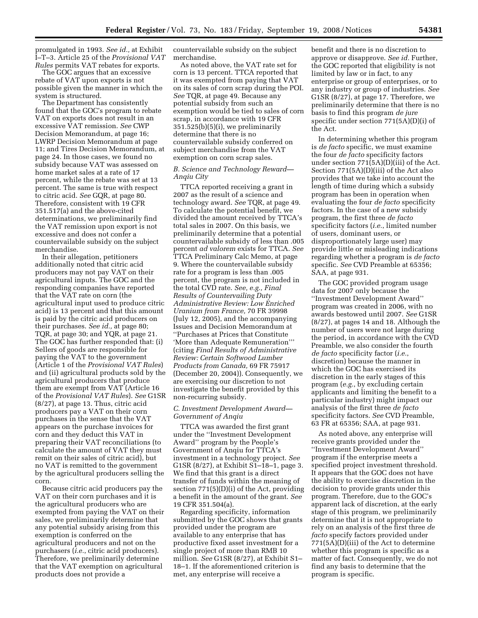promulgated in 1993. *See id.,* at Exhibit I–T–3. Article 25 of the *Provisional VAT Rules* permits VAT rebates for exports.

The GOC argues that an excessive rebate of VAT upon exports is not possible given the manner in which the system is structured.

The Department has consistently found that the GOC's program to rebate VAT on exports does not result in an excessive VAT remission. *See* CWP Decision Memorandum, at page 16; LWRP Decision Memorandum at page 11; and Tires Decision Memorandum, at page 24. In those cases, we found no subsidy because VAT was assessed on home market sales at a rate of 17 percent, while the rebate was set at 13 percent. The same is true with respect to citric acid. *See* GQR, at page 80. Therefore, consistent with 19 CFR 351.517(a) and the above-cited determinations, we preliminarily find the VAT remission upon export is not excessive and does not confer a countervailable subsidy on the subject merchandise.

In their allegation, petitioners additionally noted that citric acid producers may not pay VAT on their agricultural inputs. The GOC and the responding companies have reported that the VAT rate on corn (the agricultural input used to produce citric acid) is 13 percent and that this amount is paid by the citric acid producers on their purchases. *See id.,* at page 80; TQR, at page 30; and YQR, at page 21. The GOC has further responded that: (i) Sellers of goods are responsible for paying the VAT to the government (Article 1 of the *Provisional VAT Rules*) and (ii) agricultural products sold by the agricultural producers that produce them are exempt from VAT (Article 16 of the *Provisional VAT Rules*). *See* G1SR (8/27), at page 13. Thus, citric acid producers pay a VAT on their corn purchases in the sense that the VAT appears on the purchase invoices for corn and they deduct this VAT in preparing their VAT reconciliations (to calculate the amount of VAT they must remit on their sales of citric acid), but no VAT is remitted to the government by the agricultural producers selling the corn.

Because citric acid producers pay the VAT on their corn purchases and it is the agricultural producers who are exempted from paying the VAT on their sales, we preliminarily determine that any potential subsidy arising from this exemption is conferred on the agricultural producers and not on the purchasers (*i.e.*, citric acid producers). Therefore, we preliminarily determine that the VAT exemption on agricultural products does not provide a

countervailable subsidy on the subject merchandise.

As noted above, the VAT rate set for corn is 13 percent. TTCA reported that it was exempted from paying that VAT on its sales of corn scrap during the POI. *See* TQR, at page 49. Because any potential subsidy from such an exemption would be tied to sales of corn scrap, in accordance with 19 CFR 351.525(b)(5)(i), we preliminarily determine that there is no countervailable subsidy conferred on subject merchandise from the VAT exemption on corn scrap sales.

# *B. Science and Technology Reward— Anqiu City*

TTCA reported receiving a grant in 2007 as the result of a science and technology award. *See* TQR, at page 49. To calculate the potential benefit, we divided the amount received by TTCA's total sales in 2007. On this basis, we preliminarily determine that a potential countervailable subsidy of less than .005 percent *ad valorem* exists for TTCA. *See*  TTCA Preliminary Calc Memo, at page 9. Where the countervailable subsidy rate for a program is less than .005 percent, the program is not included in the total CVD rate. *See, e.g., Final Results of Countervailing Duty Administrative Review: Low Enriched Uranium from France,* 70 FR 39998 (July 12, 2005), and the accompanying Issues and Decision Memorandum at ''Purchases at Prices that Constitute 'More than Adequate Remuneration''' (citing *Final Results of Administrative Review: Certain Softwood Lumber Products from Canada,* 69 FR 75917 (December 20, 2004)). Consequently, we are exercising our discretion to not investigate the benefit provided by this non-recurring subsidy.

## *C. Investment Development Award— Government of Anqiu*

TTCA was awarded the first grant under the ''Investment Development Award'' program by the People's Government of Anqiu for TTCA's investment in a technology project. *See*  G1SR (8/27), at Exhibit S1–18–1, page 3. We find that this grant is a direct transfer of funds within the meaning of section 771(5)(D)(i) of the Act, providing a benefit in the amount of the grant. *See*  19 CFR 351.504(a).

Regarding specificity, information submitted by the GOC shows that grants provided under the program are available to any enterprise that has productive fixed asset investment for a single project of more than RMB 10 million. *See* G1SR (8/27), at Exhibit S1– 18–1. If the aforementioned criterion is met, any enterprise will receive a

benefit and there is no discretion to approve or disapprove. *See id.* Further, the GOC reported that eligibility is not limited by law or in fact, to any enterprise or group of enterprises, or to any industry or group of industries. *See*  G1SR (8/27), at page 17. Therefore, we preliminarily determine that there is no basis to find this program *de jure*  specific under section 771(5A)(D)(i) of the Act.

In determining whether this program is *de facto* specific, we must examine the four *de facto* specificity factors under section  $771(5A)(D)(iii)$  of the Act. Section 771(5A)(D)(iii) of the Act also provides that we take into account the length of time during which a subsidy program has been in operation when evaluating the four *de facto* specificity factors. In the case of a new subsidy program, the first three *de facto*  specificity factors (*i.e.*, limited number of users, dominant users, or disproportionately large user) may provide little or misleading indications regarding whether a program is *de facto*  specific. *See* CVD Preamble at 65356; SAA, at page 931.

The GOC provided program usage data for 2007 only because the ''Investment Development Award'' program was created in 2006, with no awards bestowed until 2007. *See* G1SR (8/27), at pages 14 and 18. Although the number of users were not large during the period, in accordance with the CVD Preamble, we also consider the fourth *de facto* specificity factor (*i.e.*, discretion) because the manner in which the GOC has exercised its discretion in the early stages of this program (*e.g.*, by excluding certain applicants and limiting the benefit to a particular industry) might impact our analysis of the first three *de facto*  specificity factors. *See* CVD Preamble, 63 FR at 65356; SAA, at page 931.

As noted above, any enterprise will receive grants provided under the ''Investment Development Award'' program if the enterprise meets a specified project investment threshold. It appears that the GOC does not have the ability to exercise discretion in the decision to provide grants under this program. Therefore, due to the GOC's apparent lack of discretion, at the early stage of this program, we preliminarily determine that it is not appropriate to rely on an analysis of the first three *de facto* specify factors provided under 771(5A)(D)(iii) of the Act to determine whether this program is specific as a matter of fact. Consequently, we do not find any basis to determine that the program is specific.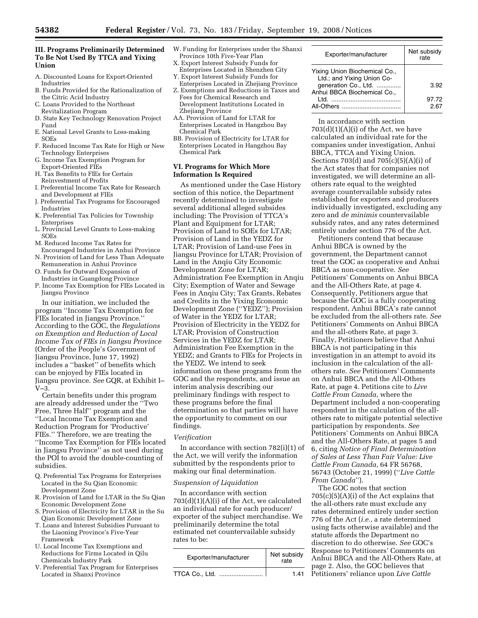# **III. Programs Preliminarily Determined To Be Not Used By TTCA and Yixing Union**

- A. Discounted Loans for Export-Oriented Industries
- B. Funds Provided for the Rationalization of the Citric Acid Industry
- C. Loans Provided to the Northeast Revitalization Program
- D. State Key Technology Renovation Project Fund
- E. National Level Grants to Loss-making SOEs
- F. Reduced Income Tax Rate for High or New Technology Enterprises
- G. Income Tax Exemption Program for Export-Oriented FIEs
- H. Tax Benefits to FIEs for Certain Reinvestment of Profits
- I. Preferential Income Tax Rate for Research and Development at FIEs
- J. Preferential Tax Programs for Encouraged Industries
- K. Preferential Tax Policies for Township Enterprises
- L. Provincial Level Grants to Loss-making SOEs
- M. Reduced Income Tax Rates for
- Encouraged Industries in Anhui Province N. Provision of Land for Less Than Adequate Remuneration in Anhui Province
- O. Funds for Outward Expansion of Industries in Guangdong Province
- P. Income Tax Exemption for FIEs Located in Jiangsu Province

In our initiation, we included the program ''Income Tax Exemption for FIEs located in Jiangsu Province.'' According to the GOC, the *Regulations on Exemption and Reduction of Local Income Tax of FIEs in Jiangsu Province*  (Order of the People's Government of Jiangsu Province, June 17, 1992) includes a ''basket'' of benefits which can be enjoyed by FIEs located in Jiangsu province. *See* GQR, at Exhibit I– V–3.

Certain benefits under this program are already addressed under the ''Two Free, Three Half'' program and the ''Local Income Tax Exemption and Reduction Program for 'Productive' FIEs.'' Therefore, we are treating the ''Income Tax Exemption for FIEs located in Jiangsu Province'' as not used during the POI to avoid the double-counting of subsidies.

- Q. Preferential Tax Programs for Enterprises Located in the Su Qian Economic Development Zone
- R. Provision of Land for LTAR in the Su Qian Economic Development Zone
- S. Provision of Electricity for LTAR in the Su Qian Economic Development Zone
- T. Loans and Interest Subsidies Pursuant to the Liaoning Province's Five-Year Framework
- U. Local Income Tax Exemptions and Reductions for Firms Located in Qilu Chemicals Industry Park
- V. Preferential Tax Program for Enterprises Located in Shanxi Province
- W. Funding for Enterprises under the Shanxi Province 10th Five-Year Plan
- X. Export Interest Subsidy Funds for Enterprises Located in Shenzhen City
- Y. Export Interest Subsidy Funds for Enterprises Located in Zhejiang Province
- Z. Exemptions and Reductions in Taxes and Fees for Chemical Research and
- Development Institutions Located in Zhejiang Province AA. Provision of Land for LTAR for
- Enterprises Located in Hangzhou Bay Chemical Park
- BB. Provision of Electricity for LTAR for Enterprises Located in Hangzhou Bay Chemical Park

# **VI. Programs for Which More Information Is Required**

As mentioned under the Case History section of this notice, the Department recently determined to investigate several additional alleged subsides including: The Provision of TTCA's Plant and Equipment for LTAR; Provision of Land to SOEs for LTAR; Provision of Land in the YEDZ for LTAR; Provision of Land-use Fees in Jiangsu Province for LTAR; Provision of Land in the Anqiu City Economic Development Zone for LTAR; Administration Fee Exemption in Anqiu City; Exemption of Water and Sewage Fees in Anqiu City; Tax Grants, Rebates and Credits in the Yixing Economic Development Zone (''YEDZ''); Provision of Water in the YEDZ for LTAR; Provision of Electricity in the YEDZ for LTAR; Provision of Construction Services in the YEDZ for LTAR; Administration Fee Exemption in the YEDZ; and Grants to FIEs for Projects in the YEDZ. We intend to seek information on these programs from the GOC and the respondents, and issue an interim analysis describing our preliminary findings with respect to these programs before the final determination so that parties will have the opportunity to comment on our findings.

### *Verification*

In accordance with section 782(i)(1) of the Act, we will verify the information submitted by the respondents prior to making our final determination.

### *Suspension of Liquidation*

In accordance with section 703(d)(1)(A)(i) of the Act, we calculated an individual rate for each producer/ exporter of the subject merchandise. We preliminarily determine the total estimated net countervailable subsidy rates to be:

| Exporter/manufacturer | Net subsidy<br>rate |
|-----------------------|---------------------|
|                       | 1.41                |

| Exporter/manufacturer                                       | Net subsidy<br>rate |
|-------------------------------------------------------------|---------------------|
| Yixing Union Biochemical Co.,<br>Ltd.; and Yixing Union Co- |                     |
| generation Co., Ltd.<br>Anhui BBCA Biochemical Co.,         | 3.92                |
| ht I                                                        | 97.72<br>2 67       |

In accordance with section  $703(d)(1)(A)(i)$  of the Act, we have calculated an individual rate for the companies under investigation, Anhui BBCA, TTCA and Yixing Union. Sections 703(d) and 705(c)(5)(A)(i) of the Act states that for companies not investigated, we will determine an allothers rate equal to the weighted average countervailable subsidy rates established for exporters and producers individually investigated, excluding any zero and *de minimis* countervailable subsidy rates, and any rates determined entirely under section 776 of the Act.

Petitioners contend that because Anhui BBCA is owned by the government, the Department cannot treat the GOC as cooperative and Anhui BBCA as non-cooperative. *See*  Petitioners' Comments on Anhui BBCA and the All-Others Rate, at page 4. Consequently, Petitioners argue that because the GOC is a fully cooperating respondent, Anhui BBCA's rate cannot be excluded from the all-others rate. *See*  Petitioners' Comments on Anhui BBCA and the all-others Rate, at page 3. Finally, Petitioners believe that Anhui BBCA is not participating in this investigation in an attempt to avoid its inclusion in the calculation of the allothers rate. *See* Petitioners' Comments on Anhui BBCA and the All-Others Rate, at page 4. Petitions cite to *Live Cattle From Canada*, where the Department included a non-cooperating respondent in the calculation of the allothers rate to mitigate potential selective participation by respondents. *See*  Petitioners' Comments on Anhui BBCA and the All-Others Rate, at pages 5 and 6, citing *Notice of Final Determination of Sales at Less Than Fair Value: Live Cattle From Canada*, 64 FR 56768, 56743 (October 21, 1999) (''*Live Cattle From Canada*'').

The GOC notes that section 705(c)(5)(A)(i) of the Act explains that the all-others rate must exclude any rates determined entirely under section 776 of the Act (*i.e.*, a rate determined using facts otherwise available) and the statute affords the Department no discretion to do otherwise. *See* GOC's Response to Petitioners' Comments on Anhui BBCA and the All-Others Rate, at page 2. Also, the GOC believes that Petitioners' reliance upon *Live Cattle*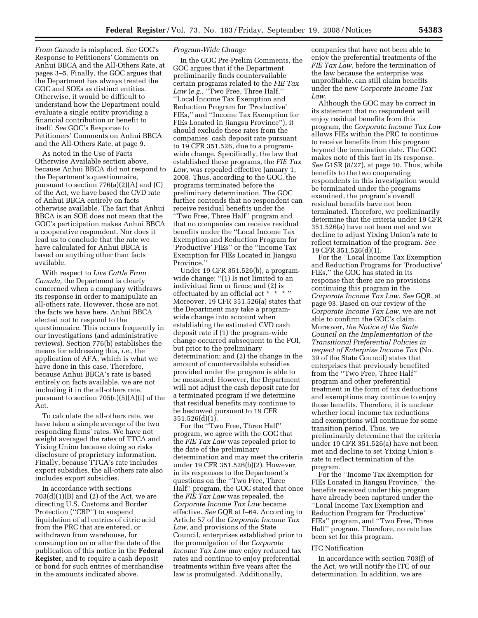*From Canada* is misplaced. *See* GOC's Response to Petitioners' Comments on Anhui BBCA and the All-Others Rate, at pages 3–5. Finally, the GOC argues that the Department has always treated the GOC and SOEs as distinct entities. Otherwise, it would be difficult to understand how the Department could evaluate a single entity providing a financial contribution or benefit to itself. *See* GOC's Response to Petitioners' Comments on Anhui BBCA and the All-Others Rate, at page 9.

As noted in the Use of Facts Otherwise Available section above, because Anhui BBCA did not respond to the Department's questionnaire, pursuant to section  $776(a)(2)(A)$  and  $(C)$ of the Act, we have based the CVD rate of Anhui BBCA entirely on facts otherwise available. The fact that Anhui BBCA is an SOE does not mean that the GOC's participation makes Anhui BBCA a cooperative respondent. Nor does it lead us to conclude that the rate we have calculated for Anhui BBCA is based on anything other than facts available.

With respect to *Live Cattle From Canada,* the Department is clearly concerned when a company withdraws its response in order to manipulate an all-others rate. However, those are not the facts we have here. Anhui BBCA elected not to respond to the questionnaire. This occurs frequently in our investigations (and administrative reviews). Section 776(b) establishes the means for addressing this, *i.e.*, the application of AFA, which is what we have done in this case. Therefore, because Anhui BBCA's rate is based entirely on facts available, we are not including it in the all-others rate, pursuant to section 705(c)(5)(A)(i) of the Act.

To calculate the all-others rate, we have taken a simple average of the two responding firms' rates. We have not weight averaged the rates of TTCA and Yixing Union because doing so risks disclosure of proprietary information. Finally, because TTCA's rate includes export subsidies, the all-others rate also includes export subsidies.

In accordance with sections  $703(d)(1)(B)$  and  $(2)$  of the Act, we are directing U.S. Customs and Border Protection (''CBP'') to suspend liquidation of all entries of citric acid from the PRC that are entered, or withdrawn from warehouse, for consumption on or after the date of the publication of this notice in the **Federal Register**, and to require a cash deposit or bond for such entries of merchandise in the amounts indicated above.

# *Program-Wide Change*

In the GOC Pre-Prelim Comments, the GOC argues that if the Department preliminarily finds countervailable certain programs related to the *FIE Tax Law* (*e.g.*, ''Two Free, Three Half,'' ''Local Income Tax Exemption and Reduction Program for 'Productive' FIEs,'' and ''Income Tax Exemption for FIEs Located in Jiangsu Province''), it should exclude these rates from the companies' cash deposit rate pursuant to 19 CFR 351.526, due to a programwide change. Specifically, the law that established these programs, the *FIE Tax Law,* was repealed effective January 1, 2008. Thus, according to the GOC, the programs terminated before the preliminary determination. The GOC further contends that no respondent can receive residual benefits under the ''Two Free, Three Half'' program and that no companies can receive residual benefits under the ''Local Income Tax Exemption and Reduction Program for 'Productive' FIEs'' or the ''Income Tax Exemption for FIEs Located in Jiangsu Province.''

Under 19 CFR 351.526(b), a programwide change: "(1) Is not limited to an individual firm or firms; and (2) is effectuated by an official act \* \* \* '' Moreover, 19 CFR 351.526(a) states that the Department may take a programwide change into account when establishing the estimated CVD cash deposit rate if (1) the program-wide change occurred subsequent to the POI, but prior to the preliminary determination; and (2) the change in the amount of countervailable subsidies provided under the program is able to be measured. However, the Department will not adjust the cash deposit rate for a terminated program if we determine that residual benefits may continue to be bestowed pursuant to 19 CFR 351.526(d)(1).

For the ''Two Free, Three Half'' program, we agree with the GOC that the *FIE Tax Law* was repealed prior to the date of the preliminary determination and may meet the criteria under 19 CFR 351.526(b)(2). However, in its responses to the Department's questions on the ''Two Free, Three Half'' program, the GOC stated that once the *FIE Tax Law* was repealed, the *Corporate Income Tax Law* became effective. *See* GQR at I–64. According to Article 57 of the *Corporate Income Tax Law*, and provisions of the State Council, enterprises established prior to the promulgation of the *Corporate Income Tax Law* may enjoy reduced tax rates and continue to enjoy preferential treatments within five years after the law is promulgated. Additionally,

companies that have not been able to enjoy the preferential treatments of the *FIE Tax Law*, before the termination of the law because the enterprise was unprofitable, can still claim benefits under the new *Corporate Income Tax Law*.

Although the GOC may be correct in its statement that no respondent will enjoy residual benefits from this program, the *Corporate Income Tax Law*  allows FIEs within the PRC to continue to receive benefits from this program beyond the termination date. The GOC makes note of this fact in its response. *See* G1SR (8/27), at page 10. Thus, while benefits to the two cooperating respondents in this investigation would be terminated under the programs examined, the program's overall residual benefits have not been terminated. Therefore, we preliminarily determine that the criteria under 19 CFR 351.526(a) have not been met and we decline to adjust Yixing Union's rate to reflect termination of the program. *See*  19 CFR 351.526(d)(1).

For the ''Local Income Tax Exemption and Reduction Programs for 'Productive' FIEs,'' the GOC has stated in its response that there are no provisions continuing this program in the *Corporate Income Tax Law*. *See* GQR, at page 93. Based on our review of the *Corporate Income Tax Law*, we are not able to confirm the GOC's claim. Moreover, *the Notice of the State Council on the Implementation of the Transitional Preferential Policies in respect of Enterprise Income Tax* (No. 39 of the State Council) states that enterprises that previously benefited from the ''Two Free, Three Half'' program and other preferential treatment in the form of tax deductions and exemptions may continue to enjoy those benefits. Therefore, it is unclear whether local income tax reductions and exemptions will continue for some transition period. Thus, we preliminarily determine that the criteria under 19 CFR 351.526(a) have not been met and decline to set Yixing Union's rate to reflect termination of the program.

For the ''Income Tax Exemption for FIEs Located in Jiangsu Province,'' the benefits received under this program have already been captured under the ''Local Income Tax Exemption and Reduction Program for 'Productive' FIEs'' program, and ''Two Free, Three Half'' program. Therefore, no rate has been set for this program.

## ITC Notification

In accordance with section 703(f) of the Act, we will notify the ITC of our determination. In addition, we are